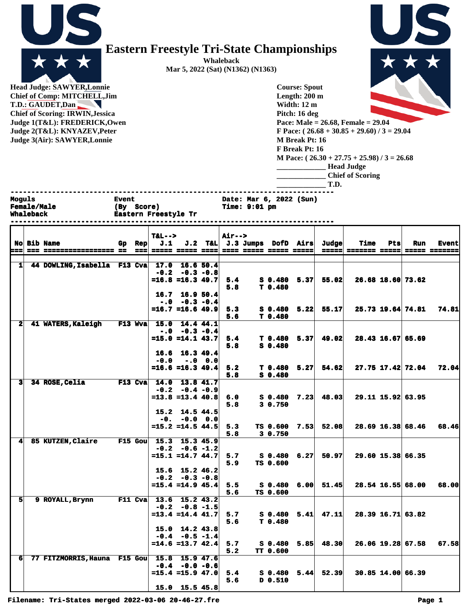| è.<br>ı<br>т<br>г<br>- | ŀ |
|------------------------|---|

## **Eastern Freestyle Tri-State Championships**

**Whaleback Mar 5, 2022 (Sat) (N1362) (N1363)**

**Head Judge: SAWYER,Lonnie Chief of Comp: MITCHELL,Jim T.D.: GAUDET,Dan Chief of Scoring: IRWIN,Jessica Judge 1(T&L): FREDERICK,Owen Judge 2(T Judge 3(** 

XXX **Pace: Male = 26.68, Female = 29.04**

| Judge 2(T&L): KNYAZEV, Peter |                                       | F Pace: $(26.68 + 30.85 + 29.60) / 3 = 29.04$ |
|------------------------------|---------------------------------------|-----------------------------------------------|
| Judge 3(Air): SAWYER, Lonnie |                                       | <b>M</b> Break Pt: 16                         |
|                              |                                       | F Break Pt: 16                                |
|                              |                                       | M Pace: $(26.30 + 27.75 + 25.98) / 3 = 26.68$ |
|                              |                                       | <b>Head Judge</b>                             |
|                              |                                       | <b>Chief of Scoring</b>                       |
|                              |                                       | T.D.                                          |
|                              |                                       |                                               |
| Moguls<br><b>Female/Male</b> | <b>Event</b><br><b>Score)</b><br>(By) | Date: Mar 6, 2022 (Sun)<br>Time: 9:01 pm      |
| <b>Whaleback</b>             | Eastern Freestyle Tr                  |                                               |

**Course: Spout Length: 200 m Width: 12 m Pitch: 16 deg**

|                |                              |                |               | $T&L-->$ |                              | Air--> |                                                 |                    |                                  |                             |      |                     |                      |
|----------------|------------------------------|----------------|---------------|----------|------------------------------|--------|-------------------------------------------------|--------------------|----------------------------------|-----------------------------|------|---------------------|----------------------|
|                | <b>No Bib Name</b>           |                | Gp Rep        | J.1      |                              |        | J.2 T&L J.3 Jumps DofD Airs                     |                    | Judge                            | <b>Time</b>                 | Ptsl | Run                 | <b>Event</b>         |
| ===            | --- ----------------- --     |                | $=$ $=$ $\pm$ |          |                              |        | <u> 22222 22232 2322 2323 23232 23232 23332</u> |                    |                                  | <u> ===== ======= =====</u> |      |                     | <b>BEREE REBEREE</b> |
|                |                              |                |               |          |                              |        |                                                 |                    |                                  |                             |      |                     |                      |
| 1              | 44 DOWLING, Isabella F13 Cva |                |               |          | 17.0 16.6 50.4               |        |                                                 |                    |                                  |                             |      |                     |                      |
|                |                              |                |               |          | $-0.2 - 0.3 - 0.8$           |        |                                                 |                    |                                  |                             |      |                     |                      |
|                |                              |                |               |          | $=16.8$ $=16.3$ 49.7         | 5.4    |                                                 | $S$ 0.480 5.37     | 55.02                            |                             |      | 26.68 18.60 73.62   |                      |
|                |                              |                |               |          |                              | 5.8    |                                                 | T <sub>0.480</sub> |                                  |                             |      |                     |                      |
|                |                              |                |               |          | $16.7$ 16.9 50.4             |        |                                                 |                    |                                  |                             |      |                     |                      |
|                |                              |                |               |          | $-.0$ $-.3$ $-.0.4$          |        |                                                 |                    |                                  |                             |      |                     |                      |
|                |                              |                |               |          | $=16.7$ $=16.6$ 49.9         | 5.3    |                                                 |                    | $\bf{5}$ 0.480 $\bf{5.22}$ 55.17 |                             |      | 25.73 19.64 74.81   | 74.81                |
|                |                              |                |               |          |                              | 5.6    |                                                 | T <sub>0.480</sub> |                                  |                             |      |                     |                      |
| $\mathbf{2}$   | 41 WATERS, Kaleigh           | F13 Wva        |               |          | 15.0 14.4 44.1               |        |                                                 |                    |                                  |                             |      |                     |                      |
|                |                              |                |               |          | $-0.0 -0.3 -0.4$             |        |                                                 |                    |                                  |                             |      |                     |                      |
|                |                              |                |               |          | $=15.0$ $=14.1$ $43.7$       | 5.4    |                                                 | $T$ 0.480 5.37     | 49.02                            |                             |      | 28.43 16.67 65.69   |                      |
|                |                              |                |               |          |                              | 5.8    |                                                 | $S$ 0.480          |                                  |                             |      |                     |                      |
|                |                              |                |               |          | 16.6 16.3 49.4               |        |                                                 |                    |                                  |                             |      |                     |                      |
|                |                              |                |               | $-0.0$   | $-.0$ 0.0                    |        |                                                 |                    |                                  |                             |      |                     |                      |
|                |                              |                |               |          | $=16.6 = 16.3$ 49.4          | 5.2    |                                                 |                    | $T$ 0.480 5.27 54.62             |                             |      | 27.75 17.42 72.04   | 72.04                |
|                |                              |                |               |          |                              | 5.8    |                                                 | $S$ 0.480          |                                  |                             |      |                     |                      |
| $\mathbf{B}$   | 34 ROSE, Celia               | $F13$ Cva      |               |          | $14.0$ 13.8 41.7             |        |                                                 |                    |                                  |                             |      |                     |                      |
|                |                              |                |               |          | $-0.2 -0.4 -0.9$             |        |                                                 |                    |                                  |                             |      |                     |                      |
|                |                              |                |               |          | $= 13.8 = 13.4$ 40.8         | 6.0    |                                                 | S 0.480 7.23       | 48.03                            |                             |      | 29.11 15.92 63.95   |                      |
|                |                              |                |               |          |                              | 5.8    |                                                 | 3 0.750            |                                  |                             |      |                     |                      |
|                |                              |                |               |          | $15.2$ 14.5 44.5             |        |                                                 |                    |                                  |                             |      |                     |                      |
|                |                              |                |               |          | $-0. -0.0 0.0$               |        |                                                 |                    |                                  |                             |      |                     |                      |
|                |                              |                |               |          | $=15.2$ $=14.5$ $44.5$       | 5.3    |                                                 |                    | TS 0.600 7.53 52.08              |                             |      | 28.69 16.38 68.46   | 68.46                |
|                |                              |                |               |          |                              | 5.8    |                                                 | 3 0.750            |                                  |                             |      |                     |                      |
| 4              | 85 KUTZEN, Claire            | <b>F15 Gou</b> |               |          | 15.3 15.3 45.9               |        |                                                 |                    |                                  |                             |      |                     |                      |
|                |                              |                |               |          | $-0.2 - 0.6 - 1.2$           |        |                                                 |                    |                                  |                             |      |                     |                      |
|                |                              |                |               |          | $=15.1$ $=14.7$ $44.7$       | 5.7    |                                                 | S 0.480 6.27       | 50.97                            |                             |      | 29.60 15.38 66.35   |                      |
|                |                              |                |               |          |                              | 5.9    |                                                 | TS 0.600           |                                  |                             |      |                     |                      |
|                |                              |                |               |          | 15.6 15.2 46.2               |        |                                                 |                    |                                  |                             |      |                     |                      |
|                |                              |                |               |          | $-0.2 -0.3 -0.8$             |        |                                                 |                    |                                  |                             |      |                     |                      |
|                |                              |                |               |          | $=15.4$ $=14.9$ $45.4$       | 5.5    |                                                 |                    | S 0.480 6.00 51.45               |                             |      | 28.54 16.55 68.00   | 68.00                |
|                |                              |                |               |          |                              | 5.6    |                                                 | TS 0.600           |                                  |                             |      |                     |                      |
| 5 <sub>l</sub> | 9 ROYALL, Brynn              |                | $F11$ Cva     |          | 13.6 15.2 43.2               |        |                                                 |                    |                                  |                             |      |                     |                      |
|                |                              |                |               |          | $-0.2 -0.8 -1.5$             |        |                                                 |                    |                                  |                             |      |                     |                      |
|                |                              |                |               |          | $=13.4$ $=14.4$ $41.7$       | 5.7    |                                                 | $S_0.480 5.41$     | 47.11                            |                             |      | 28.39 16.71 63.82   |                      |
|                |                              |                |               |          |                              | 5.6    |                                                 | T <sub>0.480</sub> |                                  |                             |      |                     |                      |
|                |                              |                |               |          | $15.0 \quad 14.2 \quad 43.8$ |        |                                                 |                    |                                  |                             |      |                     |                      |
|                |                              |                |               |          | $-0.4 - 0.5 - 1.4$           |        |                                                 |                    |                                  |                             |      |                     |                      |
|                |                              |                |               |          | $=14.6$ $=13.7$ $42.4$       | 5.7    |                                                 |                    | $\bf{S}$ 0.480 5.85 48.30        |                             |      | $26.06$ 19.28 67.58 | 67.58I               |
|                |                              |                |               |          |                              | 5.2    |                                                 | <b>TT 0.600</b>    |                                  |                             |      |                     |                      |
| 6 <sup>1</sup> | 77 FITZMORRIS, Hauna F15 Gou |                |               |          | 15.8 15.9 47.6               |        |                                                 |                    |                                  |                             |      |                     |                      |
|                |                              |                |               |          | $-0.4 - 0.0 - 0.6$           |        |                                                 |                    |                                  |                             |      |                     |                      |
|                |                              |                |               |          | $= 15.4 = 15.9 47.0$         | 5.4    |                                                 | $S_0.480 5.44$     | 52.39                            |                             |      | 30.85 14.00 66.39   |                      |
|                |                              |                |               |          |                              | 5.6    |                                                 | D 0.510            |                                  |                             |      |                     |                      |
|                |                              |                |               |          | 15.0 15.5 45.8               |        |                                                 |                    |                                  |                             |      |                     |                      |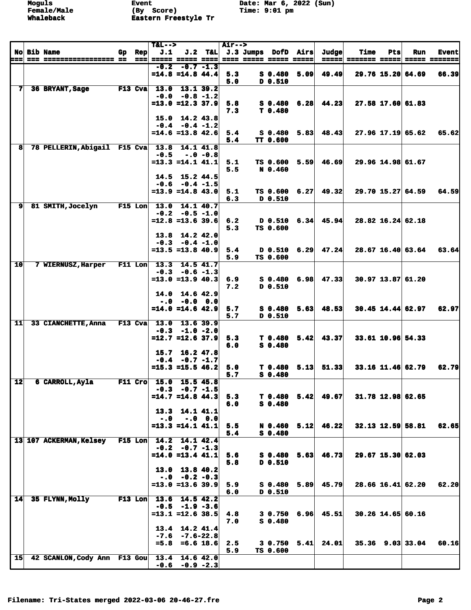|                 |                                             |     |            | $T&L-->$                                      |                                            |           | <b>Air--&gt;</b> |                                 |      |                                  |               |     |                        |               |
|-----------------|---------------------------------------------|-----|------------|-----------------------------------------------|--------------------------------------------|-----------|------------------|---------------------------------|------|----------------------------------|---------------|-----|------------------------|---------------|
|                 | <b>No Bib Name</b>                          | Gp. | <b>Rep</b> | J.1                                           |                                            |           |                  | $J.2$ T&L $J.3$ Jumps DofD Airs |      | Judge                            | <b>Time</b>   | Pts | Run                    | <b>Event</b>  |
| ===             |                                             |     |            | ===  ===== ===== ====  ==== ===== ===== ===== |                                            |           |                  |                                 |      | $=$ $=$ $=$ $=$ $=$ $\mid$       | ======= ===== |     |                        | ===== ======= |
|                 |                                             |     |            |                                               | $-0.2 -0.7 -1.3$<br>$=14.8$ $=14.8$ $44.4$ |           | 5.3              | $S_0.480$                       |      | 49.49                            |               |     |                        |               |
|                 |                                             |     |            |                                               |                                            |           | 5.0              | D 0.510                         | 5.09 |                                  |               |     | 29.76 15.20 64.69      | 66.39         |
| 7               | 36 BRYANT, Sage                             |     | $F13$ Cva  |                                               | 13.0 13.1 39.2                             |           |                  |                                 |      |                                  |               |     |                        |               |
|                 |                                             |     |            |                                               | $-0.0 - 0.8 - 1.2$                         |           |                  |                                 |      |                                  |               |     |                        |               |
|                 |                                             |     |            |                                               | $= 13.0 = 12.3$ 37.9                       |           | 5.8              |                                 |      | $S$ 0.480 6.28 44.23             |               |     | 27.58 17.60 61.83      |               |
|                 |                                             |     |            |                                               |                                            |           | 7.3              | T 0.480                         |      |                                  |               |     |                        |               |
|                 |                                             |     |            |                                               | 15.0 14.2 43.8                             |           |                  |                                 |      |                                  |               |     |                        |               |
|                 |                                             |     |            |                                               | $-0.4 - 0.4 - 1.2$                         |           |                  |                                 |      |                                  |               |     |                        |               |
|                 |                                             |     |            |                                               | $=14.6$ =13.8 42.6                         |           | 5.4              | S 0.480                         |      | $5.83 \mid 48.43$                |               |     | 27.96 17.19 65.62      | 65.62         |
| 8               | 78 PELLERIN, Abigail F15 Cva 13.8           |     |            |                                               |                                            | 14.1 41.8 | 5.4              | <b>TT 0.600</b>                 |      |                                  |               |     |                        |               |
|                 |                                             |     |            | $-0.5$                                        | $-.0 - 0.8$                                |           |                  |                                 |      |                                  |               |     |                        |               |
|                 |                                             |     |            |                                               | $=13.3$ $=14.1$ $41.1$                     |           | 5.1              | TS 0.600                        |      | $5.59$ 46.69                     |               |     | 29.96 14.98 61.67      |               |
|                 |                                             |     |            |                                               |                                            |           | 5.5              | N 0.460                         |      |                                  |               |     |                        |               |
|                 |                                             |     |            |                                               | $14.5$ 15.2 44.5                           |           |                  |                                 |      |                                  |               |     |                        |               |
|                 |                                             |     |            |                                               | $-0.6 - 0.4 - 1.5$                         |           |                  |                                 |      |                                  |               |     |                        |               |
|                 |                                             |     |            |                                               | $=13.9$ $=14.8$ $43.0$                     |           | 5.1              | TS 0.600                        |      | $6.27 \mid 49.32 \mid$           |               |     | $29.70$ 15.27 64.59    | 64.59         |
| $\mathbf{9}$    | 81 SMITH, Jocelyn                           |     |            | F15 Lon $13.0$ 14.1 40.7                      |                                            |           | 6.3              | D 0.510                         |      |                                  |               |     |                        |               |
|                 |                                             |     |            |                                               | $-0.2 -0.5 -1.0$                           |           |                  |                                 |      |                                  |               |     |                        |               |
|                 |                                             |     |            |                                               | $= 12.8 = 13.6$ 39.6                       |           | 6.2              |                                 |      | $D$ 0.510 6.34 45.94             |               |     | 28.82 16.24 62.18      |               |
|                 |                                             |     |            |                                               |                                            |           | 5.3              | TS 0.600                        |      |                                  |               |     |                        |               |
|                 |                                             |     |            |                                               | 13.8 14.2 42.0                             |           |                  |                                 |      |                                  |               |     |                        |               |
|                 |                                             |     |            |                                               | $-0.3 -0.4 -1.0$                           |           |                  |                                 |      |                                  |               |     |                        |               |
|                 |                                             |     |            |                                               | $= 13.5 = 13.840.9$                        |           | 5.4              |                                 |      | $D$ 0.510 6.29 47.24             |               |     | 28.67 16.40 63.64      | 63.64         |
| 10              | 7 WIERNUSZ, Harper                          |     |            | F11 Lon $13.3$ 14.5 41.7                      |                                            |           | 5.9              | TS 0.600                        |      |                                  |               |     |                        |               |
|                 |                                             |     |            |                                               | $-0.3 - 0.6 - 1.3$                         |           |                  |                                 |      |                                  |               |     |                        |               |
|                 |                                             |     |            |                                               | $=13.0$ =13.9 40.3                         |           | 6.9              |                                 |      | $S$ 0.480 6.98 47.33             |               |     | 30.97 13.87 61.20      |               |
|                 |                                             |     |            |                                               |                                            |           | 7.2              | D 0.510                         |      |                                  |               |     |                        |               |
|                 |                                             |     |            |                                               | $14.0$ 14.6 42.9                           |           |                  |                                 |      |                                  |               |     |                        |               |
|                 |                                             |     |            |                                               | $-.0$ $-0.0$ $0.0$                         |           |                  |                                 |      |                                  |               |     |                        |               |
|                 |                                             |     |            |                                               | $=14.0$ $=14.6$ $42.9$                     |           | 5.7              |                                 |      | $\bf{5}$ 0.480 $\bf{5.63}$ 48.53 |               |     | $30.45$ 14.44 62.97    | 62.97         |
| 11              | 33 CIANCHETTE, Anna                         |     | $F13$ Cva  | 13.0                                          | 13.6 39.9                                  |           | 5.7              | D 0.510                         |      |                                  |               |     |                        |               |
|                 |                                             |     |            |                                               | $-0.3 -1.0 -2.0$                           |           |                  |                                 |      |                                  |               |     |                        |               |
|                 |                                             |     |            |                                               | $=12.7$ =12.6 37.9                         |           | 5.3              | T <sub>0.480</sub>              |      | $5.42 \mid 43.37 \mid$           |               |     | 33.61 10.96 54.33      |               |
|                 |                                             |     |            |                                               |                                            |           | 6.0              | $S$ 0.480                       |      |                                  |               |     |                        |               |
|                 |                                             |     |            |                                               | 15.7 16.2 47.8                             |           |                  |                                 |      |                                  |               |     |                        |               |
|                 |                                             |     |            |                                               | $-0.4 -0.7 -1.7$                           |           |                  |                                 |      |                                  |               |     |                        |               |
|                 |                                             |     |            |                                               | $=15.3$ =15.5 46.2                         |           | 5.0<br>5.7       | T 0.480<br>$S$ 0.480            |      | $5.13$ $51.33$                   |               |     | $33.16$ 11.46 62.79    | 62.79         |
| 12              | 6 CARROLL, Ayla                             |     |            | F11 Cro 15.0 15.5 45.8                        |                                            |           |                  |                                 |      |                                  |               |     |                        |               |
|                 |                                             |     |            |                                               | $-0.3 -0.7 -1.5$                           |           |                  |                                 |      |                                  |               |     |                        |               |
|                 |                                             |     |            |                                               | $=14.7$ $=14.8$ $44.3$                     |           | 5.3              |                                 |      | $T$ 0.480 5.42 49.67             |               |     | 31.78 12.98 62.65      |               |
|                 |                                             |     |            |                                               |                                            |           | 6.0              | $S$ 0.480                       |      |                                  |               |     |                        |               |
|                 |                                             |     |            |                                               | 13.3 14.1 41.1                             |           |                  |                                 |      |                                  |               |     |                        |               |
|                 |                                             |     |            | $-.0$                                         |                                            | $-.0 0.0$ |                  |                                 |      |                                  |               |     |                        |               |
|                 |                                             |     |            |                                               | $=13.3$ $=14.1$ $41.1$                     |           | 5.5              |                                 |      | N 0.460 5.12 46.22               |               |     | 32.13 12.59 58.81      | 62.65         |
|                 | 13 107 ACKERMAN, Kelsey                     |     |            | F15 Lon $14.2$ 14.1 42.4                      |                                            |           | 5.4              | $S$ 0.480                       |      |                                  |               |     |                        |               |
|                 |                                             |     |            |                                               | $-0.2 -0.7 -1.3$                           |           |                  |                                 |      |                                  |               |     |                        |               |
|                 |                                             |     |            |                                               | $=14.0$ =13.4 41.1                         |           | 5.6              |                                 |      | $S$ 0.480 5.63 46.73             |               |     | 29.67 15.30 62.03      |               |
|                 |                                             |     |            |                                               |                                            |           | 5.8              | D 0.510                         |      |                                  |               |     |                        |               |
|                 |                                             |     |            |                                               | 13.0 13.8 40.2                             |           |                  |                                 |      |                                  |               |     |                        |               |
|                 |                                             |     |            |                                               | $-.0$ $-0.2$ $-0.3$                        |           |                  |                                 |      |                                  |               |     |                        |               |
|                 |                                             |     |            |                                               | $= 13.0 = 13.6$ 39.9                       |           | 5.9<br>6.0       | S 0.480<br>D 0.510              |      | $5.89$ 45.79                     |               |     | $28.66$ 16.41 62.20    | 62.20         |
| 14              | 35 FLYNN, Molly                             |     |            | $F13$ Lon $13.6$                              | 14.542.2                                   |           |                  |                                 |      |                                  |               |     |                        |               |
|                 |                                             |     |            |                                               | $-0.5 -1.9 -3.6$                           |           |                  |                                 |      |                                  |               |     |                        |               |
|                 |                                             |     |            |                                               | $=13.1$ $=12.6$ 38.5                       |           | 4.8              | 3 0.750                         |      | $6.96$ 45.51                     |               |     | 30.26 14.65 60.16      |               |
|                 |                                             |     |            |                                               |                                            |           | 7.0              | S 0.480                         |      |                                  |               |     |                        |               |
|                 |                                             |     |            |                                               | 13.4 14.2 41.4                             |           |                  |                                 |      |                                  |               |     |                        |               |
|                 |                                             |     |            |                                               | $-7.6 - 7.6 - 22.8$                        |           |                  |                                 |      |                                  |               |     |                        |               |
|                 |                                             |     |            |                                               | $=5.8$ =6.6 18.6                           |           | 2.5              |                                 |      | $3 \t0.750 \t5.41 \t24.01$       |               |     | $35.36$ $9.03$ $33.04$ | 60.16         |
| 15 <sub>l</sub> | 42 SCANLON, Cody Ann F13 Gou 13.4 14.6 42.0 |     |            |                                               |                                            |           | 5.9              | TS 0.600                        |      |                                  |               |     |                        |               |
|                 |                                             |     |            |                                               | $-0.6 -0.9 -2.3$                           |           |                  |                                 |      |                                  |               |     |                        |               |
|                 |                                             |     |            |                                               |                                            |           |                  |                                 |      |                                  |               |     |                        |               |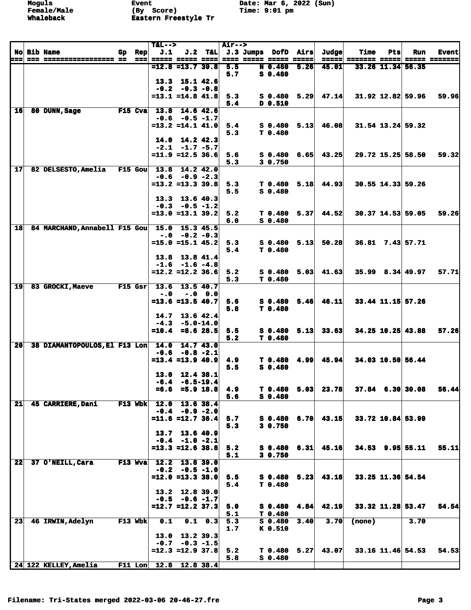|                 |                               |     |                   | $T&L-->$                 |                                           |                 | <b>Air--&gt;</b> |                                      |      |                      |                      |     |                    |               |
|-----------------|-------------------------------|-----|-------------------|--------------------------|-------------------------------------------|-----------------|------------------|--------------------------------------|------|----------------------|----------------------|-----|--------------------|---------------|
|                 | <b>No Bib Name</b>            | Gp. | <b>Rep</b>        | J.1                      |                                           |                 |                  | J.2 T&L J.3 Jumps DofD Airs          |      | Judge                | <b>Time</b>          | Pts | Run                | <b>Event</b>  |
| ===             | === ================== ==     |     | $=$ $=$ $=$ $\pm$ |                          | ===== ===== ==== <br>$= 12.8 = 13.7$ 39.8 |                 | 5.5              | ==== ===== ===== =====<br>N 0.460    | 5.26 | 45.01                | =====  ======= ===== |     | 33.26 11.34 56.35  | ===== ======= |
|                 |                               |     |                   |                          |                                           |                 | 5.7              | $S$ 0.480                            |      |                      |                      |     |                    |               |
|                 |                               |     |                   |                          | 13.3 15.1 42.6                            |                 |                  |                                      |      |                      |                      |     |                    |               |
|                 |                               |     |                   |                          | $-0.2 -0.3 -0.8$                          |                 |                  |                                      |      |                      |                      |     |                    |               |
|                 |                               |     |                   |                          | $=13.1$ $=14.8$ $41.8$                    |                 | 5.3              | $S$ 0.480 5.29                       |      | 47.14                |                      |     | 31.92 12.82 59.96  | <b>59.96</b>  |
|                 |                               |     |                   |                          |                                           |                 | 5.4              | D 0.510                              |      |                      |                      |     |                    |               |
| 16              | 80 DUNN, Sage                 |     | $F15$ Cva         | 13.8                     |                                           | 14.6 42.6       |                  |                                      |      |                      |                      |     |                    |               |
|                 |                               |     |                   |                          | $-0.6 -0.5 -1.7$                          |                 |                  |                                      |      |                      |                      |     |                    |               |
|                 |                               |     |                   |                          | $=13.2$ $=14.1$ $41.0$                    |                 | 5.4<br>5.3       | $S$ 0.480 5.13<br>T 0.480            |      | 46.08                |                      |     | 31.54 13.24 59.32  |               |
|                 |                               |     |                   |                          | $14.0$ $14.2$ $42.3$                      |                 |                  |                                      |      |                      |                      |     |                    |               |
|                 |                               |     |                   |                          | $-2.1 -1.7 -5.7$                          |                 |                  |                                      |      |                      |                      |     |                    |               |
|                 |                               |     |                   |                          | $=11.9$ =12.5 36.6                        |                 | 5.6              | $S_0.480$                            | 6.65 | 43.25                |                      |     | 29.72 15.25 58.50  | 59.32         |
|                 |                               |     |                   |                          |                                           |                 | 5.3              | 3 0.750                              |      |                      |                      |     |                    |               |
| 17              | 82 DELSESTO, Amelia           |     | $F15$ Gou         |                          | $13.8$ 14.2 42.0                          |                 |                  |                                      |      |                      |                      |     |                    |               |
|                 |                               |     |                   |                          | $-0.6 -0.9 -2.3$                          |                 |                  |                                      |      |                      |                      |     |                    |               |
|                 |                               |     |                   |                          | $= 13.2 = 13.3$ 39.8                      |                 | 5.3<br>5.5       | $T$ 0.480 5.18<br>$S_0.480$          |      | 44.93                |                      |     | 30.55 14.33 59.26  |               |
|                 |                               |     |                   |                          | 13.3 13.6 40.3                            |                 |                  |                                      |      |                      |                      |     |                    |               |
|                 |                               |     |                   |                          | $-0.3 - 0.5 - 1.2$                        |                 |                  |                                      |      |                      |                      |     |                    |               |
|                 |                               |     |                   |                          | $=13.0$ $=13.1$ $39.2$                    |                 | 5.2              | $T$ 0.480 5.37                       |      | 44.52                |                      |     | 30.37 14.53 59.05  | 59.26         |
|                 |                               |     |                   |                          |                                           |                 | 6.0              | $S$ 0.480                            |      |                      |                      |     |                    |               |
| 18              | 84 MARCHAND, Annabell F15 Gou |     |                   |                          | 15.0 15.3 45.5                            |                 |                  |                                      |      |                      |                      |     |                    |               |
|                 |                               |     |                   |                          | $-0.0 - 0.2 - 0.3$                        |                 |                  |                                      |      |                      |                      |     |                    |               |
|                 |                               |     |                   |                          | $=15.0$ =15.1 45.2                        |                 | 5.3<br>5.4       | S 0.480<br>T <sub>0.480</sub>        | 5.13 | 50.28                |                      |     | 36.81 7.43 57.71   |               |
|                 |                               |     |                   |                          | 13.8 13.8 41.4                            |                 |                  |                                      |      |                      |                      |     |                    |               |
|                 |                               |     |                   |                          | $-1.6 -1.6 -4.8$                          |                 |                  |                                      |      |                      |                      |     |                    |               |
|                 |                               |     |                   |                          | $=12.2$ $=12.2$ 36.6                      |                 | 5.2              |                                      |      | $S$ 0.480 5.03 41.63 |                      |     | $35.99$ 8.34 49.97 | 57.71         |
|                 |                               |     |                   |                          |                                           |                 | 5.3              | T <sub>0.480</sub>                   |      |                      |                      |     |                    |               |
| 19              | 83 GROCKI, Maeve              |     | F15 Gsr           | 13.6                     |                                           | 13.5 40.7       |                  |                                      |      |                      |                      |     |                    |               |
|                 |                               |     |                   | $-.0$                    | $-.0 \t0.0$                               |                 |                  |                                      |      |                      |                      |     |                    |               |
|                 |                               |     |                   |                          | $= 13.6 = 13.5 40.7$                      |                 | 5.6<br>5.8       | $S$ 0.480 5.46<br>T <sub>0.480</sub> |      | 46.11                |                      |     | 33.44 11.15 57.26  |               |
|                 |                               |     |                   |                          | $14.7$ 13.6 42.4                          |                 |                  |                                      |      |                      |                      |     |                    |               |
|                 |                               |     |                   |                          | $-4.3 -5.0 - 14.0$                        |                 |                  |                                      |      |                      |                      |     |                    |               |
|                 |                               |     |                   |                          | $=10.4$ =8.6 28.5                         |                 | 5.5              | $S_0.480$                            | 5.13 | 33.63                |                      |     | 34.25 10.25 43.88  | 57.26         |
|                 |                               |     |                   |                          |                                           |                 | 5.2              | T 0.480                              |      |                      |                      |     |                    |               |
| 20              | 38 DIAMANTOPOULOS, El F13 Lon |     |                   | 14.0                     | 14.7 43.0                                 |                 |                  |                                      |      |                      |                      |     |                    |               |
|                 |                               |     |                   |                          | $-0.6 -0.8 -2.1$<br>$= 13.4 = 13.9 40.9$  |                 | 4.9              | T 0.480 4.99                         |      | 45.94                |                      |     | 34.03 10.50 56.44  |               |
|                 |                               |     |                   |                          |                                           |                 | 5.5              | $S$ 0.480                            |      |                      |                      |     |                    |               |
|                 |                               |     |                   |                          | 13.0 12.4 38.1                            |                 |                  |                                      |      |                      |                      |     |                    |               |
|                 |                               |     |                   |                          | $-6.4 - 6.5 - 19.4$                       |                 |                  |                                      |      |                      |                      |     |                    |               |
|                 |                               |     |                   |                          | $=6.6$ $=5.9$ 18.8                        |                 | 4.9              | T <sub>0.480</sub>                   | 5.03 | 23.78                |                      |     | $37.84$ 6.30 30.08 | 56.44         |
|                 |                               |     |                   |                          |                                           |                 | 5.6              | $S$ 0.480                            |      |                      |                      |     |                    |               |
| $\overline{21}$ | 45 CARRIERE, Dani             |     | $F13$ Wbk         |                          | $12.0$ 13.6 38.4                          |                 |                  |                                      |      |                      |                      |     |                    |               |
|                 |                               |     |                   |                          | $-0.4 - 0.9 - 2.0$<br>$=11.6$ =12.7 36.4  |                 | 5.7              | $S$ 0.480 6.70                       |      | 43.15                |                      |     | 33.72 10.84 53.99  |               |
|                 |                               |     |                   |                          |                                           |                 | 5.3              | 30.750                               |      |                      |                      |     |                    |               |
|                 |                               |     |                   |                          | $13.7$ 13.6 40.9                          |                 |                  |                                      |      |                      |                      |     |                    |               |
|                 |                               |     |                   |                          | $-0.4 -1.0 -2.1$                          |                 |                  |                                      |      |                      |                      |     |                    |               |
|                 |                               |     |                   |                          | $=13.3$ =12.6 38.8                        |                 | 5.2              | $S$ 0.480 6.31                       |      | 45.16                |                      |     | $34.53$ 9.95 55.11 | 55.11         |
|                 |                               |     |                   |                          |                                           |                 | 5.1              | 3 0.750                              |      |                      |                      |     |                    |               |
| 22              | 37 O'NEILL, Cara              |     | $F13$ Wva         |                          | 12.2 13.8 39.0<br>$-0.2 - 0.5 - 1.0$      |                 |                  |                                      |      |                      |                      |     |                    |               |
|                 |                               |     |                   |                          | $=12.0$ =13.3 38.0                        |                 | 5.5              | $S$ 0.480 5.23                       |      | 43.18                |                      |     | 33.25 11.36 54.54  |               |
|                 |                               |     |                   |                          |                                           |                 | 5.4              | T 0.480                              |      |                      |                      |     |                    |               |
|                 |                               |     |                   |                          | 13.2 12.8 39.0                            |                 |                  |                                      |      |                      |                      |     |                    |               |
|                 |                               |     |                   |                          | $-0.5 -0.6 -1.7$                          |                 |                  |                                      |      |                      |                      |     |                    |               |
|                 |                               |     |                   |                          | $=12.7$ $=12.2$ 37.3                      |                 | 5.0              | $S$ 0.480 4.84                       |      | 42.19                |                      |     | 33.32 11.28 53.47  | 54.54         |
|                 |                               |     |                   |                          |                                           |                 | 5.1              | T 0.480                              |      |                      |                      |     |                    |               |
| 23              | 46 IRWIN, Adelyn              |     | $F13$ Wbk         | 0.1                      |                                           | $0.1 \quad 0.3$ | 5.3<br>1.7       | S 0.480<br>K 0.510                   | 3.40 | 3.70                 | (none)               |     | 3.70               |               |
|                 |                               |     |                   |                          | $13.0$ $13.2$ $39.3$                      |                 |                  |                                      |      |                      |                      |     |                    |               |
|                 |                               |     |                   |                          | $-0.7 -0.3 -1.5$                          |                 |                  |                                      |      |                      |                      |     |                    |               |
|                 |                               |     |                   |                          | $=12.3$ =12.9 37.8                        |                 | 5.2              | $T$ 0.480 5.27                       |      | 43.07                |                      |     | 33.16 11.46 54.53  | 54.53         |
|                 |                               |     |                   |                          |                                           |                 | 5.8              | $S$ 0.480                            |      |                      |                      |     |                    |               |
|                 | 24 122 KELLEY, Amelia         |     |                   | F11 Lon $12.8$ 12.8 38.4 |                                           |                 |                  |                                      |      |                      |                      |     |                    |               |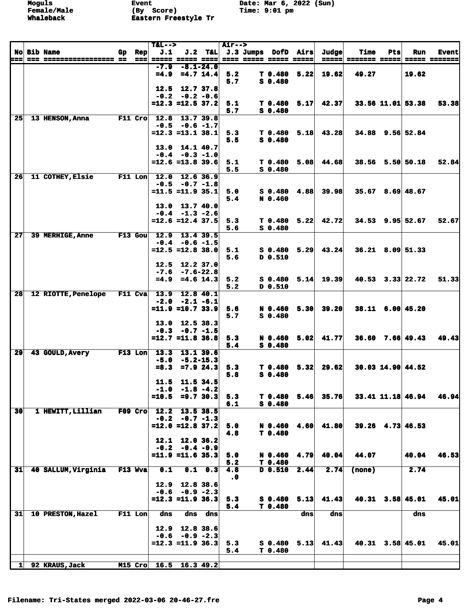| J.2 T&L J.3 Jumps DofD Airs<br><b>No Bib Name</b><br>Gp Rep<br>==== ===== ===== =====<br>=====  ======= ===== <br><b>===== ======</b><br>$-8.1 - 24.0$<br>$-7.9$<br>$=4.9$ $=4.7$ $14.4$<br>$T$ 0.480 5.22<br>19.62<br>5.2<br>19.62<br>49.27<br>$S$ 0.480<br>5.7<br>12.7 37.8<br>12.5<br>$-0.2 -0.2 -0.6$<br>$=12.3$ =12.5 37.2<br>$5.17 \mid 42.37 \mid$<br>5.1<br>T 0.480<br>$33.56$ 11.01 53.38<br>5.7<br>$S$ 0.480<br>25<br>12.8<br>13.7 39.8<br>13 HENSON, Anna<br>$F11$ Cro<br>$-0.5 -0.6 -1.7$<br>$=12.3$ $=13.1$ $38.1$<br>5.3<br>T <sub>0.480</sub><br>$5.18$ 43.28<br>34.88 9.56 52.84<br>$S$ 0.480<br>5.5<br>13.0 14.1 40.7<br>$-0.4 - 0.3 - 1.0$<br>$=12.6$ =13.8 39.6<br>44.68<br>38.56 5.50 50.18<br>5.1<br>$T$ 0.480 5.08<br>$S$ 0.480<br>5.5<br>$F11$ Lon<br>12.0<br>26<br>11 COTHEY, Elsie<br>12.6 36.9<br>$-0.5 -0.7 -1.8$<br>$= 11.5 = 11.9$ 35.1<br>39.98<br>$35.67$ 8.69 48.67<br>5.0<br>$S$ 0.480 4.88<br>5.4<br>N 0.460<br>13.0 13.7 40.0<br>$-0.4$ $-1.3$ $-2.6$<br>$=12.6$ =12.4 37.5<br>$5.22 \mid 42.72 \mid$<br>$34.53$ 9.95 52.67<br>T 0.480<br>5.3<br>$S$ 0.480<br>5.6<br>27<br>39 MERHIGE, Anne<br>$F13$ Gou<br>12.9<br>13.4 39.5<br>$-0.4 - 0.6 - 1.5$<br>$=12.5$ =12.8 38.0<br>5.29<br>43.24<br>$S_0.480$<br>$36.21$ 8.09 51.33<br>5.1<br>D 0.510<br>5.6<br>12.5 12.2 37.0<br>$-7.6 - 7.6 - 22.8$<br>$= 4.9$<br>$= 4.6$ 14.3<br>5.14<br>19.39<br>$40.53$ $3.33$ $22.72$<br>5.2<br>S 0.480<br>5.2<br>D 0.510<br>28<br>12 RIOTTE, Penelope<br>$F11$ Cva<br>13.9 12.8 40.1<br>$-2.0 -2.1 -6.1$<br>$=11.9$ =10.7 33.9<br>39.20<br>38.11 6.00 45.20<br>5.6<br>N 0.460 5.30<br>$S$ 0.480<br>5.7<br>13.0 12.5 38.3<br>$-0.3 -0.7 -1.5$<br>$=12.7$ =11.8 36.8<br>$36.60$ 7.66 49.43<br>41.77<br>5.3<br>N 0.460 5.02<br>5.4<br>$S_0.480$<br>13.3<br>29<br>$F13$ Lon<br>43 GOULD, Avery<br>13.1 39.6<br>$-5.0 - 5.2 - 15.3$<br>$= 8.3$<br>$=7.9$ 24.3<br>5.32<br>29.62<br>30.03 14.90 44.52<br>5.3<br>T 0.480<br>$S$ 0.480<br>5.8<br>11.5 11.5 34.5<br>$-1.0$ $-1.8$ $-4.2$<br>$=10.5$ =9.7 30.3<br>5.3<br>$T$ 0.480 5.46 35.76<br>33.41 11.18 46.94<br>$S$ 0.480<br>6.1<br>30<br>1 HEWITT, Lillian<br>$F09$ Cro<br>12.2<br>13.5 38.5<br>$-0.2 -0.7 -1.3$<br>$=12.0$ =12.8 37.2<br>41.80<br>4.60<br>$39.26$ 4.73 46.53<br>5.0<br>N 0.460<br>T 0.480<br>4.8<br>12.1<br>12.0 36.2<br>$-0.2 -0.4 -0.9$<br>$=11.9$ =11.6 35.3<br>N 0.460<br>4.79<br>40.04<br>44.07<br>40.04<br>5.0<br>5.2<br>T 0.480<br>2.44<br>F13 Wva<br>$D$ 0.510<br>2.74<br>2.74<br>31<br>40 SALLUM, Virginia<br>0.1<br>$0.1 \quad 0.3$<br>4.8<br>(none)<br>$\cdot$ 0<br>12.8 38.6<br>12.9<br>$-0.6$<br>$-0.9 -2.3$<br>$=12.3$ $=11.9$ 36.3<br>5.13<br>41.43<br>$40.31$ $3.58$ $45.01$<br>5.3<br>S 0.480<br>5.4<br>T 0.480<br>F11 Lon<br>31<br>10 PRESTON, Hazel<br>dns<br>$\overline{d}$ ns<br>dns<br>dns<br>dns<br>dns<br>12.9<br>12.8 38.6<br>$-0.6 - 0.9 - 2.3$<br>$=12.3$ $=11.9$ 36.3<br>$40.31$ $3.58$ $45.01$<br>$S$ 0.480 5.13<br>41.43<br>5.3<br>T 0.480<br>5.4<br>$16.5$ 16.3 49.2<br>92 KRAUS, Jack<br>M15 Cro<br>11 |  |  |  | $T&L-->$ |  | <b>Air--&gt;</b> |  |       |             |     |     |              |
|-------------------------------------------------------------------------------------------------------------------------------------------------------------------------------------------------------------------------------------------------------------------------------------------------------------------------------------------------------------------------------------------------------------------------------------------------------------------------------------------------------------------------------------------------------------------------------------------------------------------------------------------------------------------------------------------------------------------------------------------------------------------------------------------------------------------------------------------------------------------------------------------------------------------------------------------------------------------------------------------------------------------------------------------------------------------------------------------------------------------------------------------------------------------------------------------------------------------------------------------------------------------------------------------------------------------------------------------------------------------------------------------------------------------------------------------------------------------------------------------------------------------------------------------------------------------------------------------------------------------------------------------------------------------------------------------------------------------------------------------------------------------------------------------------------------------------------------------------------------------------------------------------------------------------------------------------------------------------------------------------------------------------------------------------------------------------------------------------------------------------------------------------------------------------------------------------------------------------------------------------------------------------------------------------------------------------------------------------------------------------------------------------------------------------------------------------------------------------------------------------------------------------------------------------------------------------------------------------------------------------------------------------------------------------------------------------------------------------------------------------------------------------------------------------------------------------------------------------------------------------------------------------------------------------------------------------------------------------------------------------------------------------|--|--|--|----------|--|------------------|--|-------|-------------|-----|-----|--------------|
|                                                                                                                                                                                                                                                                                                                                                                                                                                                                                                                                                                                                                                                                                                                                                                                                                                                                                                                                                                                                                                                                                                                                                                                                                                                                                                                                                                                                                                                                                                                                                                                                                                                                                                                                                                                                                                                                                                                                                                                                                                                                                                                                                                                                                                                                                                                                                                                                                                                                                                                                                                                                                                                                                                                                                                                                                                                                                                                                                                                                                         |  |  |  | J.1      |  |                  |  | Judge | <b>Time</b> | Pts | Run | <b>Event</b> |
|                                                                                                                                                                                                                                                                                                                                                                                                                                                                                                                                                                                                                                                                                                                                                                                                                                                                                                                                                                                                                                                                                                                                                                                                                                                                                                                                                                                                                                                                                                                                                                                                                                                                                                                                                                                                                                                                                                                                                                                                                                                                                                                                                                                                                                                                                                                                                                                                                                                                                                                                                                                                                                                                                                                                                                                                                                                                                                                                                                                                                         |  |  |  |          |  |                  |  |       |             |     |     |              |
|                                                                                                                                                                                                                                                                                                                                                                                                                                                                                                                                                                                                                                                                                                                                                                                                                                                                                                                                                                                                                                                                                                                                                                                                                                                                                                                                                                                                                                                                                                                                                                                                                                                                                                                                                                                                                                                                                                                                                                                                                                                                                                                                                                                                                                                                                                                                                                                                                                                                                                                                                                                                                                                                                                                                                                                                                                                                                                                                                                                                                         |  |  |  |          |  |                  |  |       |             |     |     |              |
| 53.38                                                                                                                                                                                                                                                                                                                                                                                                                                                                                                                                                                                                                                                                                                                                                                                                                                                                                                                                                                                                                                                                                                                                                                                                                                                                                                                                                                                                                                                                                                                                                                                                                                                                                                                                                                                                                                                                                                                                                                                                                                                                                                                                                                                                                                                                                                                                                                                                                                                                                                                                                                                                                                                                                                                                                                                                                                                                                                                                                                                                                   |  |  |  |          |  |                  |  |       |             |     |     |              |
|                                                                                                                                                                                                                                                                                                                                                                                                                                                                                                                                                                                                                                                                                                                                                                                                                                                                                                                                                                                                                                                                                                                                                                                                                                                                                                                                                                                                                                                                                                                                                                                                                                                                                                                                                                                                                                                                                                                                                                                                                                                                                                                                                                                                                                                                                                                                                                                                                                                                                                                                                                                                                                                                                                                                                                                                                                                                                                                                                                                                                         |  |  |  |          |  |                  |  |       |             |     |     |              |
|                                                                                                                                                                                                                                                                                                                                                                                                                                                                                                                                                                                                                                                                                                                                                                                                                                                                                                                                                                                                                                                                                                                                                                                                                                                                                                                                                                                                                                                                                                                                                                                                                                                                                                                                                                                                                                                                                                                                                                                                                                                                                                                                                                                                                                                                                                                                                                                                                                                                                                                                                                                                                                                                                                                                                                                                                                                                                                                                                                                                                         |  |  |  |          |  |                  |  |       |             |     |     |              |
|                                                                                                                                                                                                                                                                                                                                                                                                                                                                                                                                                                                                                                                                                                                                                                                                                                                                                                                                                                                                                                                                                                                                                                                                                                                                                                                                                                                                                                                                                                                                                                                                                                                                                                                                                                                                                                                                                                                                                                                                                                                                                                                                                                                                                                                                                                                                                                                                                                                                                                                                                                                                                                                                                                                                                                                                                                                                                                                                                                                                                         |  |  |  |          |  |                  |  |       |             |     |     |              |
|                                                                                                                                                                                                                                                                                                                                                                                                                                                                                                                                                                                                                                                                                                                                                                                                                                                                                                                                                                                                                                                                                                                                                                                                                                                                                                                                                                                                                                                                                                                                                                                                                                                                                                                                                                                                                                                                                                                                                                                                                                                                                                                                                                                                                                                                                                                                                                                                                                                                                                                                                                                                                                                                                                                                                                                                                                                                                                                                                                                                                         |  |  |  |          |  |                  |  |       |             |     |     |              |
|                                                                                                                                                                                                                                                                                                                                                                                                                                                                                                                                                                                                                                                                                                                                                                                                                                                                                                                                                                                                                                                                                                                                                                                                                                                                                                                                                                                                                                                                                                                                                                                                                                                                                                                                                                                                                                                                                                                                                                                                                                                                                                                                                                                                                                                                                                                                                                                                                                                                                                                                                                                                                                                                                                                                                                                                                                                                                                                                                                                                                         |  |  |  |          |  |                  |  |       |             |     |     |              |
|                                                                                                                                                                                                                                                                                                                                                                                                                                                                                                                                                                                                                                                                                                                                                                                                                                                                                                                                                                                                                                                                                                                                                                                                                                                                                                                                                                                                                                                                                                                                                                                                                                                                                                                                                                                                                                                                                                                                                                                                                                                                                                                                                                                                                                                                                                                                                                                                                                                                                                                                                                                                                                                                                                                                                                                                                                                                                                                                                                                                                         |  |  |  |          |  |                  |  |       |             |     |     |              |
|                                                                                                                                                                                                                                                                                                                                                                                                                                                                                                                                                                                                                                                                                                                                                                                                                                                                                                                                                                                                                                                                                                                                                                                                                                                                                                                                                                                                                                                                                                                                                                                                                                                                                                                                                                                                                                                                                                                                                                                                                                                                                                                                                                                                                                                                                                                                                                                                                                                                                                                                                                                                                                                                                                                                                                                                                                                                                                                                                                                                                         |  |  |  |          |  |                  |  |       |             |     |     |              |
| 52.84<br>52.67<br>51.33<br>49.43<br>46.94<br>46.53                                                                                                                                                                                                                                                                                                                                                                                                                                                                                                                                                                                                                                                                                                                                                                                                                                                                                                                                                                                                                                                                                                                                                                                                                                                                                                                                                                                                                                                                                                                                                                                                                                                                                                                                                                                                                                                                                                                                                                                                                                                                                                                                                                                                                                                                                                                                                                                                                                                                                                                                                                                                                                                                                                                                                                                                                                                                                                                                                                      |  |  |  |          |  |                  |  |       |             |     |     |              |
|                                                                                                                                                                                                                                                                                                                                                                                                                                                                                                                                                                                                                                                                                                                                                                                                                                                                                                                                                                                                                                                                                                                                                                                                                                                                                                                                                                                                                                                                                                                                                                                                                                                                                                                                                                                                                                                                                                                                                                                                                                                                                                                                                                                                                                                                                                                                                                                                                                                                                                                                                                                                                                                                                                                                                                                                                                                                                                                                                                                                                         |  |  |  |          |  |                  |  |       |             |     |     |              |
|                                                                                                                                                                                                                                                                                                                                                                                                                                                                                                                                                                                                                                                                                                                                                                                                                                                                                                                                                                                                                                                                                                                                                                                                                                                                                                                                                                                                                                                                                                                                                                                                                                                                                                                                                                                                                                                                                                                                                                                                                                                                                                                                                                                                                                                                                                                                                                                                                                                                                                                                                                                                                                                                                                                                                                                                                                                                                                                                                                                                                         |  |  |  |          |  |                  |  |       |             |     |     |              |
|                                                                                                                                                                                                                                                                                                                                                                                                                                                                                                                                                                                                                                                                                                                                                                                                                                                                                                                                                                                                                                                                                                                                                                                                                                                                                                                                                                                                                                                                                                                                                                                                                                                                                                                                                                                                                                                                                                                                                                                                                                                                                                                                                                                                                                                                                                                                                                                                                                                                                                                                                                                                                                                                                                                                                                                                                                                                                                                                                                                                                         |  |  |  |          |  |                  |  |       |             |     |     |              |
|                                                                                                                                                                                                                                                                                                                                                                                                                                                                                                                                                                                                                                                                                                                                                                                                                                                                                                                                                                                                                                                                                                                                                                                                                                                                                                                                                                                                                                                                                                                                                                                                                                                                                                                                                                                                                                                                                                                                                                                                                                                                                                                                                                                                                                                                                                                                                                                                                                                                                                                                                                                                                                                                                                                                                                                                                                                                                                                                                                                                                         |  |  |  |          |  |                  |  |       |             |     |     |              |
|                                                                                                                                                                                                                                                                                                                                                                                                                                                                                                                                                                                                                                                                                                                                                                                                                                                                                                                                                                                                                                                                                                                                                                                                                                                                                                                                                                                                                                                                                                                                                                                                                                                                                                                                                                                                                                                                                                                                                                                                                                                                                                                                                                                                                                                                                                                                                                                                                                                                                                                                                                                                                                                                                                                                                                                                                                                                                                                                                                                                                         |  |  |  |          |  |                  |  |       |             |     |     |              |
|                                                                                                                                                                                                                                                                                                                                                                                                                                                                                                                                                                                                                                                                                                                                                                                                                                                                                                                                                                                                                                                                                                                                                                                                                                                                                                                                                                                                                                                                                                                                                                                                                                                                                                                                                                                                                                                                                                                                                                                                                                                                                                                                                                                                                                                                                                                                                                                                                                                                                                                                                                                                                                                                                                                                                                                                                                                                                                                                                                                                                         |  |  |  |          |  |                  |  |       |             |     |     |              |
|                                                                                                                                                                                                                                                                                                                                                                                                                                                                                                                                                                                                                                                                                                                                                                                                                                                                                                                                                                                                                                                                                                                                                                                                                                                                                                                                                                                                                                                                                                                                                                                                                                                                                                                                                                                                                                                                                                                                                                                                                                                                                                                                                                                                                                                                                                                                                                                                                                                                                                                                                                                                                                                                                                                                                                                                                                                                                                                                                                                                                         |  |  |  |          |  |                  |  |       |             |     |     |              |
|                                                                                                                                                                                                                                                                                                                                                                                                                                                                                                                                                                                                                                                                                                                                                                                                                                                                                                                                                                                                                                                                                                                                                                                                                                                                                                                                                                                                                                                                                                                                                                                                                                                                                                                                                                                                                                                                                                                                                                                                                                                                                                                                                                                                                                                                                                                                                                                                                                                                                                                                                                                                                                                                                                                                                                                                                                                                                                                                                                                                                         |  |  |  |          |  |                  |  |       |             |     |     |              |
|                                                                                                                                                                                                                                                                                                                                                                                                                                                                                                                                                                                                                                                                                                                                                                                                                                                                                                                                                                                                                                                                                                                                                                                                                                                                                                                                                                                                                                                                                                                                                                                                                                                                                                                                                                                                                                                                                                                                                                                                                                                                                                                                                                                                                                                                                                                                                                                                                                                                                                                                                                                                                                                                                                                                                                                                                                                                                                                                                                                                                         |  |  |  |          |  |                  |  |       |             |     |     |              |
|                                                                                                                                                                                                                                                                                                                                                                                                                                                                                                                                                                                                                                                                                                                                                                                                                                                                                                                                                                                                                                                                                                                                                                                                                                                                                                                                                                                                                                                                                                                                                                                                                                                                                                                                                                                                                                                                                                                                                                                                                                                                                                                                                                                                                                                                                                                                                                                                                                                                                                                                                                                                                                                                                                                                                                                                                                                                                                                                                                                                                         |  |  |  |          |  |                  |  |       |             |     |     |              |
|                                                                                                                                                                                                                                                                                                                                                                                                                                                                                                                                                                                                                                                                                                                                                                                                                                                                                                                                                                                                                                                                                                                                                                                                                                                                                                                                                                                                                                                                                                                                                                                                                                                                                                                                                                                                                                                                                                                                                                                                                                                                                                                                                                                                                                                                                                                                                                                                                                                                                                                                                                                                                                                                                                                                                                                                                                                                                                                                                                                                                         |  |  |  |          |  |                  |  |       |             |     |     |              |
|                                                                                                                                                                                                                                                                                                                                                                                                                                                                                                                                                                                                                                                                                                                                                                                                                                                                                                                                                                                                                                                                                                                                                                                                                                                                                                                                                                                                                                                                                                                                                                                                                                                                                                                                                                                                                                                                                                                                                                                                                                                                                                                                                                                                                                                                                                                                                                                                                                                                                                                                                                                                                                                                                                                                                                                                                                                                                                                                                                                                                         |  |  |  |          |  |                  |  |       |             |     |     |              |
|                                                                                                                                                                                                                                                                                                                                                                                                                                                                                                                                                                                                                                                                                                                                                                                                                                                                                                                                                                                                                                                                                                                                                                                                                                                                                                                                                                                                                                                                                                                                                                                                                                                                                                                                                                                                                                                                                                                                                                                                                                                                                                                                                                                                                                                                                                                                                                                                                                                                                                                                                                                                                                                                                                                                                                                                                                                                                                                                                                                                                         |  |  |  |          |  |                  |  |       |             |     |     |              |
|                                                                                                                                                                                                                                                                                                                                                                                                                                                                                                                                                                                                                                                                                                                                                                                                                                                                                                                                                                                                                                                                                                                                                                                                                                                                                                                                                                                                                                                                                                                                                                                                                                                                                                                                                                                                                                                                                                                                                                                                                                                                                                                                                                                                                                                                                                                                                                                                                                                                                                                                                                                                                                                                                                                                                                                                                                                                                                                                                                                                                         |  |  |  |          |  |                  |  |       |             |     |     |              |
|                                                                                                                                                                                                                                                                                                                                                                                                                                                                                                                                                                                                                                                                                                                                                                                                                                                                                                                                                                                                                                                                                                                                                                                                                                                                                                                                                                                                                                                                                                                                                                                                                                                                                                                                                                                                                                                                                                                                                                                                                                                                                                                                                                                                                                                                                                                                                                                                                                                                                                                                                                                                                                                                                                                                                                                                                                                                                                                                                                                                                         |  |  |  |          |  |                  |  |       |             |     |     |              |
|                                                                                                                                                                                                                                                                                                                                                                                                                                                                                                                                                                                                                                                                                                                                                                                                                                                                                                                                                                                                                                                                                                                                                                                                                                                                                                                                                                                                                                                                                                                                                                                                                                                                                                                                                                                                                                                                                                                                                                                                                                                                                                                                                                                                                                                                                                                                                                                                                                                                                                                                                                                                                                                                                                                                                                                                                                                                                                                                                                                                                         |  |  |  |          |  |                  |  |       |             |     |     |              |
|                                                                                                                                                                                                                                                                                                                                                                                                                                                                                                                                                                                                                                                                                                                                                                                                                                                                                                                                                                                                                                                                                                                                                                                                                                                                                                                                                                                                                                                                                                                                                                                                                                                                                                                                                                                                                                                                                                                                                                                                                                                                                                                                                                                                                                                                                                                                                                                                                                                                                                                                                                                                                                                                                                                                                                                                                                                                                                                                                                                                                         |  |  |  |          |  |                  |  |       |             |     |     |              |
|                                                                                                                                                                                                                                                                                                                                                                                                                                                                                                                                                                                                                                                                                                                                                                                                                                                                                                                                                                                                                                                                                                                                                                                                                                                                                                                                                                                                                                                                                                                                                                                                                                                                                                                                                                                                                                                                                                                                                                                                                                                                                                                                                                                                                                                                                                                                                                                                                                                                                                                                                                                                                                                                                                                                                                                                                                                                                                                                                                                                                         |  |  |  |          |  |                  |  |       |             |     |     |              |
|                                                                                                                                                                                                                                                                                                                                                                                                                                                                                                                                                                                                                                                                                                                                                                                                                                                                                                                                                                                                                                                                                                                                                                                                                                                                                                                                                                                                                                                                                                                                                                                                                                                                                                                                                                                                                                                                                                                                                                                                                                                                                                                                                                                                                                                                                                                                                                                                                                                                                                                                                                                                                                                                                                                                                                                                                                                                                                                                                                                                                         |  |  |  |          |  |                  |  |       |             |     |     |              |
|                                                                                                                                                                                                                                                                                                                                                                                                                                                                                                                                                                                                                                                                                                                                                                                                                                                                                                                                                                                                                                                                                                                                                                                                                                                                                                                                                                                                                                                                                                                                                                                                                                                                                                                                                                                                                                                                                                                                                                                                                                                                                                                                                                                                                                                                                                                                                                                                                                                                                                                                                                                                                                                                                                                                                                                                                                                                                                                                                                                                                         |  |  |  |          |  |                  |  |       |             |     |     |              |
|                                                                                                                                                                                                                                                                                                                                                                                                                                                                                                                                                                                                                                                                                                                                                                                                                                                                                                                                                                                                                                                                                                                                                                                                                                                                                                                                                                                                                                                                                                                                                                                                                                                                                                                                                                                                                                                                                                                                                                                                                                                                                                                                                                                                                                                                                                                                                                                                                                                                                                                                                                                                                                                                                                                                                                                                                                                                                                                                                                                                                         |  |  |  |          |  |                  |  |       |             |     |     |              |
|                                                                                                                                                                                                                                                                                                                                                                                                                                                                                                                                                                                                                                                                                                                                                                                                                                                                                                                                                                                                                                                                                                                                                                                                                                                                                                                                                                                                                                                                                                                                                                                                                                                                                                                                                                                                                                                                                                                                                                                                                                                                                                                                                                                                                                                                                                                                                                                                                                                                                                                                                                                                                                                                                                                                                                                                                                                                                                                                                                                                                         |  |  |  |          |  |                  |  |       |             |     |     |              |
|                                                                                                                                                                                                                                                                                                                                                                                                                                                                                                                                                                                                                                                                                                                                                                                                                                                                                                                                                                                                                                                                                                                                                                                                                                                                                                                                                                                                                                                                                                                                                                                                                                                                                                                                                                                                                                                                                                                                                                                                                                                                                                                                                                                                                                                                                                                                                                                                                                                                                                                                                                                                                                                                                                                                                                                                                                                                                                                                                                                                                         |  |  |  |          |  |                  |  |       |             |     |     |              |
|                                                                                                                                                                                                                                                                                                                                                                                                                                                                                                                                                                                                                                                                                                                                                                                                                                                                                                                                                                                                                                                                                                                                                                                                                                                                                                                                                                                                                                                                                                                                                                                                                                                                                                                                                                                                                                                                                                                                                                                                                                                                                                                                                                                                                                                                                                                                                                                                                                                                                                                                                                                                                                                                                                                                                                                                                                                                                                                                                                                                                         |  |  |  |          |  |                  |  |       |             |     |     |              |
|                                                                                                                                                                                                                                                                                                                                                                                                                                                                                                                                                                                                                                                                                                                                                                                                                                                                                                                                                                                                                                                                                                                                                                                                                                                                                                                                                                                                                                                                                                                                                                                                                                                                                                                                                                                                                                                                                                                                                                                                                                                                                                                                                                                                                                                                                                                                                                                                                                                                                                                                                                                                                                                                                                                                                                                                                                                                                                                                                                                                                         |  |  |  |          |  |                  |  |       |             |     |     |              |
|                                                                                                                                                                                                                                                                                                                                                                                                                                                                                                                                                                                                                                                                                                                                                                                                                                                                                                                                                                                                                                                                                                                                                                                                                                                                                                                                                                                                                                                                                                                                                                                                                                                                                                                                                                                                                                                                                                                                                                                                                                                                                                                                                                                                                                                                                                                                                                                                                                                                                                                                                                                                                                                                                                                                                                                                                                                                                                                                                                                                                         |  |  |  |          |  |                  |  |       |             |     |     |              |
|                                                                                                                                                                                                                                                                                                                                                                                                                                                                                                                                                                                                                                                                                                                                                                                                                                                                                                                                                                                                                                                                                                                                                                                                                                                                                                                                                                                                                                                                                                                                                                                                                                                                                                                                                                                                                                                                                                                                                                                                                                                                                                                                                                                                                                                                                                                                                                                                                                                                                                                                                                                                                                                                                                                                                                                                                                                                                                                                                                                                                         |  |  |  |          |  |                  |  |       |             |     |     |              |
|                                                                                                                                                                                                                                                                                                                                                                                                                                                                                                                                                                                                                                                                                                                                                                                                                                                                                                                                                                                                                                                                                                                                                                                                                                                                                                                                                                                                                                                                                                                                                                                                                                                                                                                                                                                                                                                                                                                                                                                                                                                                                                                                                                                                                                                                                                                                                                                                                                                                                                                                                                                                                                                                                                                                                                                                                                                                                                                                                                                                                         |  |  |  |          |  |                  |  |       |             |     |     |              |
|                                                                                                                                                                                                                                                                                                                                                                                                                                                                                                                                                                                                                                                                                                                                                                                                                                                                                                                                                                                                                                                                                                                                                                                                                                                                                                                                                                                                                                                                                                                                                                                                                                                                                                                                                                                                                                                                                                                                                                                                                                                                                                                                                                                                                                                                                                                                                                                                                                                                                                                                                                                                                                                                                                                                                                                                                                                                                                                                                                                                                         |  |  |  |          |  |                  |  |       |             |     |     |              |
|                                                                                                                                                                                                                                                                                                                                                                                                                                                                                                                                                                                                                                                                                                                                                                                                                                                                                                                                                                                                                                                                                                                                                                                                                                                                                                                                                                                                                                                                                                                                                                                                                                                                                                                                                                                                                                                                                                                                                                                                                                                                                                                                                                                                                                                                                                                                                                                                                                                                                                                                                                                                                                                                                                                                                                                                                                                                                                                                                                                                                         |  |  |  |          |  |                  |  |       |             |     |     |              |
|                                                                                                                                                                                                                                                                                                                                                                                                                                                                                                                                                                                                                                                                                                                                                                                                                                                                                                                                                                                                                                                                                                                                                                                                                                                                                                                                                                                                                                                                                                                                                                                                                                                                                                                                                                                                                                                                                                                                                                                                                                                                                                                                                                                                                                                                                                                                                                                                                                                                                                                                                                                                                                                                                                                                                                                                                                                                                                                                                                                                                         |  |  |  |          |  |                  |  |       |             |     |     |              |
|                                                                                                                                                                                                                                                                                                                                                                                                                                                                                                                                                                                                                                                                                                                                                                                                                                                                                                                                                                                                                                                                                                                                                                                                                                                                                                                                                                                                                                                                                                                                                                                                                                                                                                                                                                                                                                                                                                                                                                                                                                                                                                                                                                                                                                                                                                                                                                                                                                                                                                                                                                                                                                                                                                                                                                                                                                                                                                                                                                                                                         |  |  |  |          |  |                  |  |       |             |     |     |              |
|                                                                                                                                                                                                                                                                                                                                                                                                                                                                                                                                                                                                                                                                                                                                                                                                                                                                                                                                                                                                                                                                                                                                                                                                                                                                                                                                                                                                                                                                                                                                                                                                                                                                                                                                                                                                                                                                                                                                                                                                                                                                                                                                                                                                                                                                                                                                                                                                                                                                                                                                                                                                                                                                                                                                                                                                                                                                                                                                                                                                                         |  |  |  |          |  |                  |  |       |             |     |     |              |
|                                                                                                                                                                                                                                                                                                                                                                                                                                                                                                                                                                                                                                                                                                                                                                                                                                                                                                                                                                                                                                                                                                                                                                                                                                                                                                                                                                                                                                                                                                                                                                                                                                                                                                                                                                                                                                                                                                                                                                                                                                                                                                                                                                                                                                                                                                                                                                                                                                                                                                                                                                                                                                                                                                                                                                                                                                                                                                                                                                                                                         |  |  |  |          |  |                  |  |       |             |     |     |              |
|                                                                                                                                                                                                                                                                                                                                                                                                                                                                                                                                                                                                                                                                                                                                                                                                                                                                                                                                                                                                                                                                                                                                                                                                                                                                                                                                                                                                                                                                                                                                                                                                                                                                                                                                                                                                                                                                                                                                                                                                                                                                                                                                                                                                                                                                                                                                                                                                                                                                                                                                                                                                                                                                                                                                                                                                                                                                                                                                                                                                                         |  |  |  |          |  |                  |  |       |             |     |     |              |
|                                                                                                                                                                                                                                                                                                                                                                                                                                                                                                                                                                                                                                                                                                                                                                                                                                                                                                                                                                                                                                                                                                                                                                                                                                                                                                                                                                                                                                                                                                                                                                                                                                                                                                                                                                                                                                                                                                                                                                                                                                                                                                                                                                                                                                                                                                                                                                                                                                                                                                                                                                                                                                                                                                                                                                                                                                                                                                                                                                                                                         |  |  |  |          |  |                  |  |       |             |     |     |              |
|                                                                                                                                                                                                                                                                                                                                                                                                                                                                                                                                                                                                                                                                                                                                                                                                                                                                                                                                                                                                                                                                                                                                                                                                                                                                                                                                                                                                                                                                                                                                                                                                                                                                                                                                                                                                                                                                                                                                                                                                                                                                                                                                                                                                                                                                                                                                                                                                                                                                                                                                                                                                                                                                                                                                                                                                                                                                                                                                                                                                                         |  |  |  |          |  |                  |  |       |             |     |     |              |
|                                                                                                                                                                                                                                                                                                                                                                                                                                                                                                                                                                                                                                                                                                                                                                                                                                                                                                                                                                                                                                                                                                                                                                                                                                                                                                                                                                                                                                                                                                                                                                                                                                                                                                                                                                                                                                                                                                                                                                                                                                                                                                                                                                                                                                                                                                                                                                                                                                                                                                                                                                                                                                                                                                                                                                                                                                                                                                                                                                                                                         |  |  |  |          |  |                  |  |       |             |     |     |              |
|                                                                                                                                                                                                                                                                                                                                                                                                                                                                                                                                                                                                                                                                                                                                                                                                                                                                                                                                                                                                                                                                                                                                                                                                                                                                                                                                                                                                                                                                                                                                                                                                                                                                                                                                                                                                                                                                                                                                                                                                                                                                                                                                                                                                                                                                                                                                                                                                                                                                                                                                                                                                                                                                                                                                                                                                                                                                                                                                                                                                                         |  |  |  |          |  |                  |  |       |             |     |     |              |
|                                                                                                                                                                                                                                                                                                                                                                                                                                                                                                                                                                                                                                                                                                                                                                                                                                                                                                                                                                                                                                                                                                                                                                                                                                                                                                                                                                                                                                                                                                                                                                                                                                                                                                                                                                                                                                                                                                                                                                                                                                                                                                                                                                                                                                                                                                                                                                                                                                                                                                                                                                                                                                                                                                                                                                                                                                                                                                                                                                                                                         |  |  |  |          |  |                  |  |       |             |     |     |              |
|                                                                                                                                                                                                                                                                                                                                                                                                                                                                                                                                                                                                                                                                                                                                                                                                                                                                                                                                                                                                                                                                                                                                                                                                                                                                                                                                                                                                                                                                                                                                                                                                                                                                                                                                                                                                                                                                                                                                                                                                                                                                                                                                                                                                                                                                                                                                                                                                                                                                                                                                                                                                                                                                                                                                                                                                                                                                                                                                                                                                                         |  |  |  |          |  |                  |  |       |             |     |     |              |
|                                                                                                                                                                                                                                                                                                                                                                                                                                                                                                                                                                                                                                                                                                                                                                                                                                                                                                                                                                                                                                                                                                                                                                                                                                                                                                                                                                                                                                                                                                                                                                                                                                                                                                                                                                                                                                                                                                                                                                                                                                                                                                                                                                                                                                                                                                                                                                                                                                                                                                                                                                                                                                                                                                                                                                                                                                                                                                                                                                                                                         |  |  |  |          |  |                  |  |       |             |     |     |              |
| 45.01<br>45.01                                                                                                                                                                                                                                                                                                                                                                                                                                                                                                                                                                                                                                                                                                                                                                                                                                                                                                                                                                                                                                                                                                                                                                                                                                                                                                                                                                                                                                                                                                                                                                                                                                                                                                                                                                                                                                                                                                                                                                                                                                                                                                                                                                                                                                                                                                                                                                                                                                                                                                                                                                                                                                                                                                                                                                                                                                                                                                                                                                                                          |  |  |  |          |  |                  |  |       |             |     |     |              |
|                                                                                                                                                                                                                                                                                                                                                                                                                                                                                                                                                                                                                                                                                                                                                                                                                                                                                                                                                                                                                                                                                                                                                                                                                                                                                                                                                                                                                                                                                                                                                                                                                                                                                                                                                                                                                                                                                                                                                                                                                                                                                                                                                                                                                                                                                                                                                                                                                                                                                                                                                                                                                                                                                                                                                                                                                                                                                                                                                                                                                         |  |  |  |          |  |                  |  |       |             |     |     |              |
|                                                                                                                                                                                                                                                                                                                                                                                                                                                                                                                                                                                                                                                                                                                                                                                                                                                                                                                                                                                                                                                                                                                                                                                                                                                                                                                                                                                                                                                                                                                                                                                                                                                                                                                                                                                                                                                                                                                                                                                                                                                                                                                                                                                                                                                                                                                                                                                                                                                                                                                                                                                                                                                                                                                                                                                                                                                                                                                                                                                                                         |  |  |  |          |  |                  |  |       |             |     |     |              |
|                                                                                                                                                                                                                                                                                                                                                                                                                                                                                                                                                                                                                                                                                                                                                                                                                                                                                                                                                                                                                                                                                                                                                                                                                                                                                                                                                                                                                                                                                                                                                                                                                                                                                                                                                                                                                                                                                                                                                                                                                                                                                                                                                                                                                                                                                                                                                                                                                                                                                                                                                                                                                                                                                                                                                                                                                                                                                                                                                                                                                         |  |  |  |          |  |                  |  |       |             |     |     |              |
|                                                                                                                                                                                                                                                                                                                                                                                                                                                                                                                                                                                                                                                                                                                                                                                                                                                                                                                                                                                                                                                                                                                                                                                                                                                                                                                                                                                                                                                                                                                                                                                                                                                                                                                                                                                                                                                                                                                                                                                                                                                                                                                                                                                                                                                                                                                                                                                                                                                                                                                                                                                                                                                                                                                                                                                                                                                                                                                                                                                                                         |  |  |  |          |  |                  |  |       |             |     |     |              |
|                                                                                                                                                                                                                                                                                                                                                                                                                                                                                                                                                                                                                                                                                                                                                                                                                                                                                                                                                                                                                                                                                                                                                                                                                                                                                                                                                                                                                                                                                                                                                                                                                                                                                                                                                                                                                                                                                                                                                                                                                                                                                                                                                                                                                                                                                                                                                                                                                                                                                                                                                                                                                                                                                                                                                                                                                                                                                                                                                                                                                         |  |  |  |          |  |                  |  |       |             |     |     |              |
|                                                                                                                                                                                                                                                                                                                                                                                                                                                                                                                                                                                                                                                                                                                                                                                                                                                                                                                                                                                                                                                                                                                                                                                                                                                                                                                                                                                                                                                                                                                                                                                                                                                                                                                                                                                                                                                                                                                                                                                                                                                                                                                                                                                                                                                                                                                                                                                                                                                                                                                                                                                                                                                                                                                                                                                                                                                                                                                                                                                                                         |  |  |  |          |  |                  |  |       |             |     |     |              |
|                                                                                                                                                                                                                                                                                                                                                                                                                                                                                                                                                                                                                                                                                                                                                                                                                                                                                                                                                                                                                                                                                                                                                                                                                                                                                                                                                                                                                                                                                                                                                                                                                                                                                                                                                                                                                                                                                                                                                                                                                                                                                                                                                                                                                                                                                                                                                                                                                                                                                                                                                                                                                                                                                                                                                                                                                                                                                                                                                                                                                         |  |  |  |          |  |                  |  |       |             |     |     |              |
|                                                                                                                                                                                                                                                                                                                                                                                                                                                                                                                                                                                                                                                                                                                                                                                                                                                                                                                                                                                                                                                                                                                                                                                                                                                                                                                                                                                                                                                                                                                                                                                                                                                                                                                                                                                                                                                                                                                                                                                                                                                                                                                                                                                                                                                                                                                                                                                                                                                                                                                                                                                                                                                                                                                                                                                                                                                                                                                                                                                                                         |  |  |  |          |  |                  |  |       |             |     |     |              |
|                                                                                                                                                                                                                                                                                                                                                                                                                                                                                                                                                                                                                                                                                                                                                                                                                                                                                                                                                                                                                                                                                                                                                                                                                                                                                                                                                                                                                                                                                                                                                                                                                                                                                                                                                                                                                                                                                                                                                                                                                                                                                                                                                                                                                                                                                                                                                                                                                                                                                                                                                                                                                                                                                                                                                                                                                                                                                                                                                                                                                         |  |  |  |          |  |                  |  |       |             |     |     |              |
|                                                                                                                                                                                                                                                                                                                                                                                                                                                                                                                                                                                                                                                                                                                                                                                                                                                                                                                                                                                                                                                                                                                                                                                                                                                                                                                                                                                                                                                                                                                                                                                                                                                                                                                                                                                                                                                                                                                                                                                                                                                                                                                                                                                                                                                                                                                                                                                                                                                                                                                                                                                                                                                                                                                                                                                                                                                                                                                                                                                                                         |  |  |  |          |  |                  |  |       |             |     |     |              |
|                                                                                                                                                                                                                                                                                                                                                                                                                                                                                                                                                                                                                                                                                                                                                                                                                                                                                                                                                                                                                                                                                                                                                                                                                                                                                                                                                                                                                                                                                                                                                                                                                                                                                                                                                                                                                                                                                                                                                                                                                                                                                                                                                                                                                                                                                                                                                                                                                                                                                                                                                                                                                                                                                                                                                                                                                                                                                                                                                                                                                         |  |  |  |          |  |                  |  |       |             |     |     |              |
|                                                                                                                                                                                                                                                                                                                                                                                                                                                                                                                                                                                                                                                                                                                                                                                                                                                                                                                                                                                                                                                                                                                                                                                                                                                                                                                                                                                                                                                                                                                                                                                                                                                                                                                                                                                                                                                                                                                                                                                                                                                                                                                                                                                                                                                                                                                                                                                                                                                                                                                                                                                                                                                                                                                                                                                                                                                                                                                                                                                                                         |  |  |  |          |  |                  |  |       |             |     |     |              |
|                                                                                                                                                                                                                                                                                                                                                                                                                                                                                                                                                                                                                                                                                                                                                                                                                                                                                                                                                                                                                                                                                                                                                                                                                                                                                                                                                                                                                                                                                                                                                                                                                                                                                                                                                                                                                                                                                                                                                                                                                                                                                                                                                                                                                                                                                                                                                                                                                                                                                                                                                                                                                                                                                                                                                                                                                                                                                                                                                                                                                         |  |  |  |          |  |                  |  |       |             |     |     |              |
|                                                                                                                                                                                                                                                                                                                                                                                                                                                                                                                                                                                                                                                                                                                                                                                                                                                                                                                                                                                                                                                                                                                                                                                                                                                                                                                                                                                                                                                                                                                                                                                                                                                                                                                                                                                                                                                                                                                                                                                                                                                                                                                                                                                                                                                                                                                                                                                                                                                                                                                                                                                                                                                                                                                                                                                                                                                                                                                                                                                                                         |  |  |  |          |  |                  |  |       |             |     |     |              |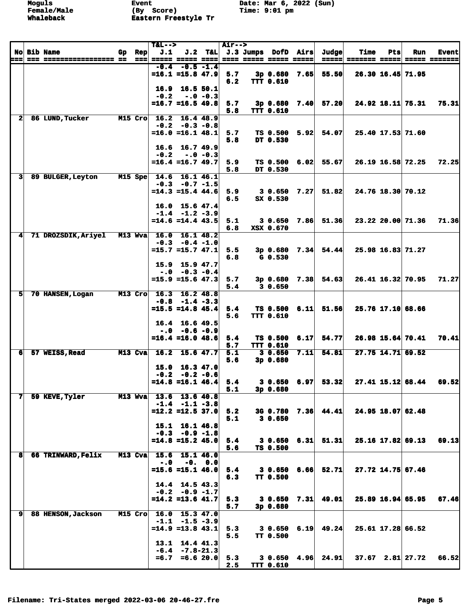|              |                     |    |                            | $T&L-->$ |                                                  |             | <b>Air--&gt;</b> |                        |      |                       |             |     |                     |              |
|--------------|---------------------|----|----------------------------|----------|--------------------------------------------------|-------------|------------------|------------------------|------|-----------------------|-------------|-----|---------------------|--------------|
|              | <b>No Bib Name</b>  | Gp | <b>Rep</b>                 | J.1      | J.2                                              | T&L         |                  | J.3 Jumps DofD Airs    |      | Judge                 | <b>Time</b> | Pts | Run                 | <b>Event</b> |
| ===          |                     |    | $=$ $=$ $=$ $\blacksquare$ |          | ===== ===== ====                                 |             |                  | ==== ===== ===== ===== |      |                       |             |     |                     | ===== ====== |
|              |                     |    |                            | -0.4     |                                                  | $-0.5 -1.4$ |                  |                        |      |                       |             |     |                     |              |
|              |                     |    |                            |          | $=16.1$ =15.8 47.9                               |             | 5.7              | $3p$ 0.680             | 7.65 | 55.50                 |             |     | 26.30 16.45 71.95   |              |
|              |                     |    |                            |          |                                                  |             | 6.2              | <b>TTT 0.610</b>       |      |                       |             |     |                     |              |
|              |                     |    |                            | 16.9     | 16.550.1                                         |             |                  |                        |      |                       |             |     |                     |              |
|              |                     |    |                            | $-0.2$   |                                                  | $-.0 - 0.3$ |                  |                        |      |                       |             |     |                     |              |
|              |                     |    |                            |          | $=16.7$ $=16.5$ 49.8                             |             | 5.7              | 3p0.680                | 7.40 | 57.20                 |             |     | 24.92 18.11 75.31   | 75.31        |
|              |                     |    |                            |          |                                                  |             | 5.8              | <b>TTT 0.610</b>       |      |                       |             |     |                     |              |
| $\mathbf{z}$ | 86 LUND, Tucker     |    | M15 Cro                    |          | $16.2 \quad 16.4 \quad 48.9$<br>$-0.2 -0.3 -0.8$ |             |                  |                        |      |                       |             |     |                     |              |
|              |                     |    |                            |          | $=16.0$ =16.1 48.1                               |             | 5.7              | $TS$ 0.500 5.92        |      | 54.07                 |             |     | 25.40 17.53 71.60   |              |
|              |                     |    |                            |          |                                                  |             | 5.8              | DT 0.530               |      |                       |             |     |                     |              |
|              |                     |    |                            |          | $16.6$ $16.7$ $49.9$                             |             |                  |                        |      |                       |             |     |                     |              |
|              |                     |    |                            | $-0.2$   | $-.0 - 0.3$                                      |             |                  |                        |      |                       |             |     |                     |              |
|              |                     |    |                            |          | $=16.4$ =16.7 49.7                               |             | 5.9              |                        |      | $TS$ 0.500 6.02 55.67 |             |     | 26.19 16.58 72.25   | 72.25        |
|              |                     |    |                            |          |                                                  |             | 5.8              | DT 0.530               |      |                       |             |     |                     |              |
| 3            | 89 BULGER, Leyton   |    | $M15$ Spe                  | 14.6     | 16.1 46.1                                        |             |                  |                        |      |                       |             |     |                     |              |
|              |                     |    |                            |          | $-0.3 -0.7 -1.5$                                 |             |                  |                        |      |                       |             |     |                     |              |
|              |                     |    |                            |          | $=14.3$ $=15.4$ $44.6$                           |             | 5.9              | 3 0.650                | 7.27 | 51.82                 |             |     | 24.76 18.30 70.12   |              |
|              |                     |    |                            |          |                                                  |             | 6.5              | SX 0.530               |      |                       |             |     |                     |              |
|              |                     |    |                            |          | $16.0$ 15.6 47.4                                 |             |                  |                        |      |                       |             |     |                     |              |
|              |                     |    |                            |          | $-1.4$ $-1.2$ $-3.9$                             |             |                  |                        |      |                       |             |     |                     |              |
|              |                     |    |                            |          | $= 14.6 = 14.4$ 43.5                             |             | 5.1              | 3 0.650                | 7.86 | 51.36                 |             |     | 23.22 20.00 71.36   | 71.36        |
|              |                     |    |                            |          |                                                  |             | 6.8              | XSX 0.670              |      |                       |             |     |                     |              |
| 4            | 71 DROZSDIK, Ariyel |    | M13 Wva                    |          | $16.0 \quad 16.1 \quad 48.2$                     |             |                  |                        |      |                       |             |     |                     |              |
|              |                     |    |                            |          | $-0.3 -0.4 -1.0$                                 |             |                  |                        |      |                       |             |     |                     |              |
|              |                     |    |                            |          | $=15.7$ $=15.7$ $47.1$                           |             | 5.5              | $3p \t0.680 \t7.34$    |      | 54.44                 |             |     | 25.98 16.83 71.27   |              |
|              |                     |    |                            |          |                                                  |             | 6.8              | G 0.530                |      |                       |             |     |                     |              |
|              |                     |    |                            | 15.9     | 15.9 47.7                                        |             |                  |                        |      |                       |             |     |                     |              |
|              |                     |    |                            |          | $-0.0 -0.3 -0.4$                                 |             |                  |                        |      |                       |             |     |                     |              |
|              |                     |    |                            |          | $=15.9$ =15.6 47.3                               |             | 5.7              | 3p0.680                | 7.38 | 54.63                 |             |     | 26.41 16.32 70.95   | 71.27        |
|              |                     |    |                            |          |                                                  |             | 5.4              | 30.650                 |      |                       |             |     |                     |              |
| 5            | 70 HANSEN, Logan    |    | $M13$ Cro                  |          | 16.3 16.2 48.8                                   |             |                  |                        |      |                       |             |     |                     |              |
|              |                     |    |                            |          | $-0.8$ $-1.4$ $-3.3$                             |             |                  |                        |      |                       |             |     |                     |              |
|              |                     |    |                            |          | $=15.5 = 14.8 45.4$                              |             | 5.4              | $TS$ 0.500 6.11        |      | 51.56                 |             |     | 25.76 17.10 68.66   |              |
|              |                     |    |                            |          |                                                  |             | 5.6              | <b>TTT 0.610</b>       |      |                       |             |     |                     |              |
|              |                     |    |                            |          | $16.4$ 16.6 49.5                                 |             |                  |                        |      |                       |             |     |                     |              |
|              |                     |    |                            |          | $-.0 - 0.6 - 0.9$                                |             |                  |                        |      |                       |             |     |                     |              |
|              |                     |    |                            |          | $=16.4$ =16.0 48.6                               |             | 5.4              | <b>TS 0.500</b>        | 6.17 | 54.77                 |             |     | 26.98 15.64 70.41   | 70.41        |
|              |                     |    |                            | 16.2     |                                                  |             | 5.7              | <b>TTT 0.610</b>       |      |                       |             |     |                     |              |
| 6            | 57 WEISS, Read      |    | M13 Cva                    |          | $15.6$ 47.7                                      |             | 5.1              | 30.650                 | 7.11 | 54.81                 |             |     | 27.75 14.71 69.52   |              |
|              |                     |    |                            |          | 15.0 16.3 47.0                                   |             | 5.6              | 3p0.680                |      |                       |             |     |                     |              |
|              |                     |    |                            |          | $-0.2 -0.2 -0.6$                                 |             |                  |                        |      |                       |             |     |                     |              |
|              |                     |    |                            |          | $=14.8$ =16.1 46.4                               |             | 5.4              |                        |      | $30.650$ 6.97 53.32   |             |     | $27.41$ 15.12 68.44 | 69.52        |
|              |                     |    |                            |          |                                                  |             | 5.1              | 3p 0.680               |      |                       |             |     |                     |              |
| 7            | 59 KEVE, Tyler      |    | $M13$ Wya                  |          | 13.6 13.6 40.8                                   |             |                  |                        |      |                       |             |     |                     |              |
|              |                     |    |                            |          | $-1.4$ $-1.1$ $-3.8$                             |             |                  |                        |      |                       |             |     |                     |              |
|              |                     |    |                            |          | $=12.2$ =12.5 37.0                               |             | 5.2              |                        |      | 3G 0.780 7.36 44.41   |             |     | 24.95 18.07 62.48   |              |
|              |                     |    |                            |          |                                                  |             | 5.1              | 30.650                 |      |                       |             |     |                     |              |
|              |                     |    |                            |          | 15.1 16.1 46.8                                   |             |                  |                        |      |                       |             |     |                     |              |
|              |                     |    |                            |          | $-0.3 -0.9 -1.8$                                 |             |                  |                        |      |                       |             |     |                     |              |
|              |                     |    |                            |          | $=14.8$ =15.2 45.0                               |             | 5.4              | 30.6506.31             |      | 51.31                 |             |     | 25.16 17.82 69.13   | 69.13        |
|              |                     |    |                            |          |                                                  |             | 5.6              | TS 0.500               |      |                       |             |     |                     |              |
| 8            | 66 TRINWARD, Felix  |    | M13 Cva                    | 15.6     | 15.146.0                                         |             |                  |                        |      |                       |             |     |                     |              |
|              |                     |    |                            | $-.0$    |                                                  | $-0. 0.0$   |                  |                        |      |                       |             |     |                     |              |
|              |                     |    |                            |          | $=15.6$ =15.1 46.0                               |             | 5.4              | $30.650$ $6.66$        |      | 52.71                 |             |     | 27.72 14.75 67.46   |              |
|              |                     |    |                            |          |                                                  |             | 6.3              | TT 0.500               |      |                       |             |     |                     |              |
|              |                     |    |                            |          | $14.4$ 14.5 43.3                                 |             |                  |                        |      |                       |             |     |                     |              |
|              |                     |    |                            |          | $-0.2 -0.9 -1.7$                                 |             |                  |                        |      |                       |             |     |                     |              |
|              |                     |    |                            |          | $=14.2$ =13.6 41.7                               |             | 5.3              | $30.650$ $7.31$        |      | 49.01                 |             |     | 25.89 16.94 65.95   | 67.46        |
|              |                     |    |                            |          |                                                  |             | 5.7              | 3p 0.680               |      |                       |             |     |                     |              |
| 9            | 88 HENSON, Jackson  |    | M15 Cro                    |          | 16.0 15.3 47.0                                   |             |                  |                        |      |                       |             |     |                     |              |
|              |                     |    |                            |          | $-1.1 -1.5 -3.9$                                 |             |                  |                        |      |                       |             |     |                     |              |
|              |                     |    |                            |          | $=14.9$ =13.8 43.1                               |             | 5.3              | 30.6506.19             |      | 49.24                 |             |     | 25.61 17.28 66.52   |              |
|              |                     |    |                            |          |                                                  |             | 5.5              | TT 0.500               |      |                       |             |     |                     |              |
|              |                     |    |                            |          | $13.1$ $14.4$ $41.3$                             |             |                  |                        |      |                       |             |     |                     |              |
|              |                     |    |                            |          | $-6.4 -7.8 - 21.3$                               |             |                  |                        |      |                       |             |     |                     |              |
|              |                     |    |                            |          | $=6.7 = 6.6 20.0$                                |             | 5.3              |                        |      | $30.650$ 4.96 24.91   |             |     | $37.67$ 2.81 27.72  | 66.52        |
|              |                     |    |                            |          |                                                  |             | 2.5              | <b>TTT 0.610</b>       |      |                       |             |     |                     |              |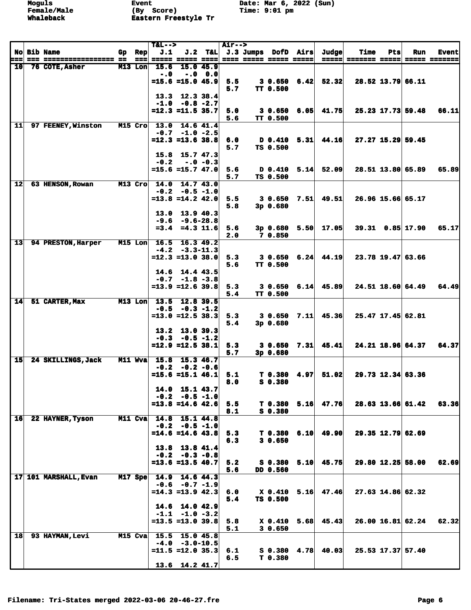|                 |                       |                               | $T&L-->$ |                                              |           | <b>Air--&gt;</b> |                                               |                                |      |                     |                                            |     |                    |                               |
|-----------------|-----------------------|-------------------------------|----------|----------------------------------------------|-----------|------------------|-----------------------------------------------|--------------------------------|------|---------------------|--------------------------------------------|-----|--------------------|-------------------------------|
| ===             | <b>No Bib Name</b>    | $Gp$ Rep<br>$=$ $=$ $=$ $\pm$ | J.1      | ===== ===== ====                             | $J.2$ T&L |                  | J.3 Jumps DofD Airs<br>==== ===== ===== ===== |                                |      | Judge               | <b>Time</b><br><u>----- ------- ----- </u> | Pts | Run                | <b>Event</b><br>===== ======= |
| 10              | 76 COTE, Asher        | M13 Lon                       | 15.6     | 15.0 45.9                                    |           |                  |                                               |                                |      |                     |                                            |     |                    |                               |
|                 |                       |                               | $-.0$    |                                              | $-.0 0.0$ |                  |                                               |                                |      |                     |                                            |     |                    |                               |
|                 |                       |                               |          | $=15.6$ =15.0 45.9                           |           | 5.5              |                                               | 30.6506.42                     |      | 52.32               |                                            |     | 28.52 13.79 66.11  |                               |
|                 |                       |                               |          | $13.3$ $12.3$ $38.4$                         |           | 5.7              |                                               | <b>TT 0.500</b>                |      |                     |                                            |     |                    |                               |
|                 |                       |                               |          | $-1.0 -0.8 -2.7$                             |           |                  |                                               |                                |      |                     |                                            |     |                    |                               |
|                 |                       |                               |          | $=12.3$ $=11.5$ 35.7                         |           | 5.0              |                                               |                                |      | $30.650$ 6.05 41.75 |                                            |     | 25.23 17.73 59.48  | 66.11                         |
|                 |                       |                               |          |                                              |           | 5.6              |                                               | <b>TT 0.500</b>                |      |                     |                                            |     |                    |                               |
| 11              | 97 FEENEY, Winston    | M15 Cro                       |          | 13.0 14.6 41.4<br>$-0.7 -1.0 -2.5$           |           |                  |                                               |                                |      |                     |                                            |     |                    |                               |
|                 |                       |                               |          | $= 12.3 = 13.6$ 38.8                         |           | 6.0              |                                               | D 0.410                        | 5.31 | 44.16               |                                            |     | 27.27 15.29 59.45  |                               |
|                 |                       |                               |          |                                              |           | 5.7              |                                               | TS 0.500                       |      |                     |                                            |     |                    |                               |
|                 |                       |                               |          | $15.8$ 15.7 47.3<br>$-.0 - 0.3$              |           |                  |                                               |                                |      |                     |                                            |     |                    |                               |
|                 |                       |                               | $-0.2$   | $=15.6$ =15.7 47.0                           |           | 5.6              |                                               | D 0.410                        | 5.14 | 52.09               |                                            |     | 28.51 13.80 65.89  | 65.89                         |
|                 |                       |                               |          |                                              |           | 5.7              |                                               | TS 0.500                       |      |                     |                                            |     |                    |                               |
| $\overline{12}$ | 63 HENSON, Rowan      | M13 Cro                       |          | $14.0$ $14.7$ $43.0$                         |           |                  |                                               |                                |      |                     |                                            |     |                    |                               |
|                 |                       |                               |          | $-0.2 - 0.5 - 1.0$<br>$=13.8$ $=14.2$ $42.0$ |           | 5.5              |                                               | $30.650$ $7.51$                |      | 49.51               |                                            |     | 26.96 15.66 65.17  |                               |
|                 |                       |                               |          |                                              |           | 5.8              |                                               | 3p 0.680                       |      |                     |                                            |     |                    |                               |
|                 |                       |                               |          | $13.0$ 13.9 40.3                             |           |                  |                                               |                                |      |                     |                                            |     |                    |                               |
|                 |                       |                               |          | $-9.6 - 9.6 - 28.8$                          |           |                  |                                               |                                |      |                     |                                            |     |                    |                               |
|                 |                       |                               |          | $=3.4$ $=4.3$ 11.6                           |           | 5.6<br>2.0       |                                               | $3p \t0.680 \t5.50$<br>7 0.850 |      | 17.05               |                                            |     | $39.31$ 0.85 17.90 | 65.17                         |
| $\overline{13}$ | 94 PRESTON, Harper    | M15 Lon                       |          | $16.5$ 16.3 49.2                             |           |                  |                                               |                                |      |                     |                                            |     |                    |                               |
|                 |                       |                               |          | $-4.2 -3.3 -11.3$                            |           |                  |                                               |                                |      |                     |                                            |     |                    |                               |
|                 |                       |                               |          | $=12.3 = 13.0 38.0$                          |           | 5.3              |                                               | $30.650$ $6.24$                |      | 44.19               |                                            |     | 23.78 19.47 63.66  |                               |
|                 |                       |                               |          | $14.6$ 14.4 43.5                             |           | 5.6              |                                               | <b>TT 0.500</b>                |      |                     |                                            |     |                    |                               |
|                 |                       |                               |          | $-0.7 -1.8 -3.8$                             |           |                  |                                               |                                |      |                     |                                            |     |                    |                               |
|                 |                       |                               |          | $=13.9$ $=12.6$ 39.8                         |           | 5.3              |                                               | 30.6506.14                     |      | 45.89               |                                            |     | 24.51 18.60 64.49  | 64.49                         |
| 14              | 51 CARTER, Max        | $M13$ Lon                     | 13.5     | 12.8 39.5                                    |           | 5.4              |                                               | TT 0.500                       |      |                     |                                            |     |                    |                               |
|                 |                       |                               |          | $-0.5 -0.3 -1.2$                             |           |                  |                                               |                                |      |                     |                                            |     |                    |                               |
|                 |                       |                               |          | $= 13.0$ $= 12.5$ 38.3                       |           | 5.3              |                                               | $30.650$ $7.11$                |      | 45.36               |                                            |     | 25.47 17.45 62.81  |                               |
|                 |                       |                               |          |                                              |           | 5.4              |                                               | 3p0.680                        |      |                     |                                            |     |                    |                               |
|                 |                       |                               |          | $13.2$ 13.0 39.3<br>$-0.3 - 0.5 - 1.2$       |           |                  |                                               |                                |      |                     |                                            |     |                    |                               |
|                 |                       |                               |          | $=12.9$ =12.5 38.1                           |           | 5.3              |                                               | 30.650                         | 7.31 | 45.41               |                                            |     | 24.21 18.96 64.37  | 64.37                         |
|                 |                       |                               |          |                                              |           | 5.7              |                                               | 3p 0.680                       |      |                     |                                            |     |                    |                               |
| 15              | 24 SKILLINGS, Jack    | M11 Wva                       |          | 15.8 15.3 46.7<br>$-0.2 - 0.2 - 0.6$         |           |                  |                                               |                                |      |                     |                                            |     |                    |                               |
|                 |                       |                               |          | $=15.6$ $=15.1$ 46.1                         |           | 5.1              |                                               | $T$ 0.380 4.97                 |      | 51.02               |                                            |     | 29.73 12.34 63.36  |                               |
|                 |                       |                               |          |                                              |           | 8.0              |                                               | S 0.380                        |      |                     |                                            |     |                    |                               |
|                 |                       |                               |          | $14.0$ 15.1 43.7                             |           |                  |                                               |                                |      |                     |                                            |     |                    |                               |
|                 |                       |                               |          | $-0.2 -0.5 -1.0$<br>$=13.8$ =14.6 42.6       |           | 5.5              |                                               | $T$ 0.380 5.16                 |      | 47.76               |                                            |     | 28.63 13.66 61.42  | 63.36                         |
|                 |                       |                               |          |                                              |           | 8.1              |                                               | $S$ 0.380                      |      |                     |                                            |     |                    |                               |
| $\overline{16}$ | 22 HAYNER, Tyson      | M11 Cva 14.8 15.1 44.8        |          |                                              |           |                  |                                               |                                |      |                     |                                            |     |                    |                               |
|                 |                       |                               |          | $-0.2 - 0.5 - 1.0$<br>$=14.6$ =14.6 43.8     |           | 5.3              |                                               | $T$ 0.380 6.10                 |      | 49.90               |                                            |     | 29.35 12.79 62.69  |                               |
|                 |                       |                               |          |                                              |           | 6.3              |                                               | 30.650                         |      |                     |                                            |     |                    |                               |
|                 |                       |                               |          | 13.8 13.8 41.4                               |           |                  |                                               |                                |      |                     |                                            |     |                    |                               |
|                 |                       |                               |          | $-0.2 -0.3 -0.8$<br>$= 13.6 = 13.5 40.7$     |           |                  |                                               |                                |      |                     |                                            |     |                    |                               |
|                 |                       |                               |          |                                              |           | 5.2<br>5.6       |                                               | $S$ 0.380 5.10<br>DD 0.560     |      | 45.75               |                                            |     | 29.80 12.25 58.00  | 62.69                         |
|                 | 17 101 MARSHALL, Evan | $M17$ Spe                     |          | 14.9 14.6 44.3                               |           |                  |                                               |                                |      |                     |                                            |     |                    |                               |
|                 |                       |                               |          | $-0.6 -0.7 -1.9$                             |           |                  |                                               |                                |      |                     |                                            |     |                    |                               |
|                 |                       |                               |          | $=14.3$ =13.9 42.3                           |           | 6.0<br>5.4       |                                               | X 0.410<br>TS 0.500            | 5.16 | 47.46               |                                            |     | 27.63 14.86 62.32  |                               |
|                 |                       |                               |          | 14.6 14.0 42.9                               |           |                  |                                               |                                |      |                     |                                            |     |                    |                               |
|                 |                       |                               |          | $-1.1$ $-1.0$ $-3.2$                         |           |                  |                                               |                                |      |                     |                                            |     |                    |                               |
|                 |                       |                               |          | $= 13.5 = 13.0$ 39.8                         |           | 5.8              |                                               | X 0.410                        | 5.68 | 45.43               |                                            |     | 26.00 16.81 62.24  | 62.32                         |
| 18              | 93 HAYMAN, Levi       | M15 Cva                       |          | 15.5 15.0 45.8                               |           | 5.1              |                                               | 30.650                         |      |                     |                                            |     |                    |                               |
|                 |                       |                               |          | $-4.0 -3.0 - 10.5$                           |           |                  |                                               |                                |      |                     |                                            |     |                    |                               |
|                 |                       |                               |          | $= 11.5 = 12.0 35.3$                         |           | 6.1              |                                               | S 0.380                        | 4.78 | 40.03               |                                            |     | 25.53 17.37 57.40  |                               |
|                 |                       |                               |          | $13.6$ 14.2 41.7                             |           | 6.5              |                                               | T 0.380                        |      |                     |                                            |     |                    |                               |
|                 |                       |                               |          |                                              |           |                  |                                               |                                |      |                     |                                            |     |                    |                               |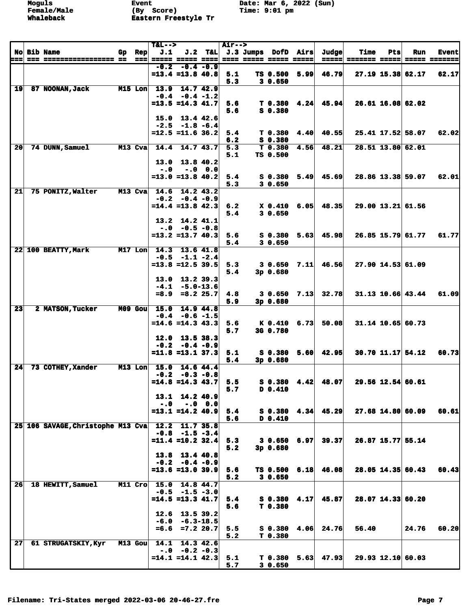|                 |                                   |     |                                          | $T&L-->$               |                                             |           | <b>Air--&gt;</b> |                                                       |      |                                  |                              |     |                   |                               |
|-----------------|-----------------------------------|-----|------------------------------------------|------------------------|---------------------------------------------|-----------|------------------|-------------------------------------------------------|------|----------------------------------|------------------------------|-----|-------------------|-------------------------------|
| ===             | <b>No Bib Name</b>                | Gp. | <b>Rep</b><br>$=$ $=$ $=$ $\blacksquare$ | J.1                    | ===== ===== ====                            |           |                  | J.2 T&L J.3 Jumps DofD Airs<br>==== ===== ===== ===== |      | Judge<br>$=$ $=$ $=$ $=$ $=$ $ $ | <b>Time</b><br>======= ===== | Pts | Run               | <b>Event</b><br>===== ======= |
|                 |                                   |     |                                          |                        | $-0.2 -0.4 -0.9$                            |           |                  |                                                       |      |                                  |                              |     |                   |                               |
|                 |                                   |     |                                          |                        | $= 13.4$ $= 13.8$ 40.8                      |           | 5.1              | TS 0.500                                              | 5.99 | 46.79                            |                              |     | 27.19 15.38 62.17 | 62.17                         |
| $\overline{19}$ | 87 NOONAN, Jack                   |     | M15 Lon                                  |                        | 13.9 14.7 42.9                              |           | 5.3              | 30.650                                                |      |                                  |                              |     |                   |                               |
|                 |                                   |     |                                          |                        | $-0.4 - 0.4 - 1.2$                          |           |                  |                                                       |      |                                  |                              |     |                   |                               |
|                 |                                   |     |                                          |                        | $=13.5$ $=14.3$ $41.7$                      |           | 5.6              |                                                       |      | $T$ 0.380 4.24 45.94             |                              |     | 26.61 16.08 62.02 |                               |
|                 |                                   |     |                                          |                        |                                             |           | 5.6              | S 0.380                                               |      |                                  |                              |     |                   |                               |
|                 |                                   |     |                                          |                        | $15.0$ $13.4$ $42.6$<br>$-2.5 -1.8 -6.4$    |           |                  |                                                       |      |                                  |                              |     |                   |                               |
|                 |                                   |     |                                          |                        | $=12.5$ $=11.6$ 36.2                        |           | 5.4              | T <sub>0.380</sub>                                    | 4.40 | 40.55                            |                              |     | 25.41 17.52 58.07 | 62.02                         |
|                 |                                   |     |                                          |                        |                                             |           | 6.2              | S 0.380                                               |      |                                  |                              |     |                   |                               |
| 20              | 74 DUNN, Samuel                   |     | M13 Cva                                  | 14.4                   | 14.743.7                                    |           | 5.3<br>5.1       | T 0.380<br>TS 0.500                                   | 4.56 | 48.21                            |                              |     | 28.51 13.80 62.01 |                               |
|                 |                                   |     |                                          |                        | 13.0 13.8 40.2                              |           |                  |                                                       |      |                                  |                              |     |                   |                               |
|                 |                                   |     |                                          | $-.0$                  |                                             | $-.0 0.0$ |                  |                                                       |      |                                  |                              |     |                   |                               |
|                 |                                   |     |                                          |                        | $= 13.0$ $= 13.8$ 40.2                      |           | 5.4              | $S_0.380$                                             | 5.49 | 45.69                            |                              |     | 28.86 13.38 59.07 | 62.01                         |
| 21              | 75 PONITZ, Walter                 |     | $M13$ Cva                                |                        | 14.6 14.2 43.2                              |           | 5.3              | 30.650                                                |      |                                  |                              |     |                   |                               |
|                 |                                   |     |                                          |                        | $-0.2 -0.4 -0.9$                            |           |                  |                                                       |      |                                  |                              |     |                   |                               |
|                 |                                   |     |                                          |                        | $=14.4$ =13.8 42.3                          |           | 6.2              |                                                       |      | $X$ 0.410 6.05 48.35             |                              |     | 29.00 13.21 61.56 |                               |
|                 |                                   |     |                                          |                        | $13.2$ 14.2 41.1                            |           | 5.4              | 30.650                                                |      |                                  |                              |     |                   |                               |
|                 |                                   |     |                                          |                        | $-.0 - 0.5 - 0.8$                           |           |                  |                                                       |      |                                  |                              |     |                   |                               |
|                 |                                   |     |                                          |                        | $= 13.2$ $= 13.7$ 40.3                      |           | 5.6              | S <sub>0.380</sub>                                    | 5.63 | 45.98                            |                              |     | 26.85 15.79 61.77 | 61.77                         |
|                 |                                   |     |                                          |                        | 14.3 13.6 41.8                              |           | 5.4              | 30.650                                                |      |                                  |                              |     |                   |                               |
|                 | 22 100 BEATTY, Mark               |     | $M17$ Lon                                |                        | $-0.5 -1.1 -2.4$                            |           |                  |                                                       |      |                                  |                              |     |                   |                               |
|                 |                                   |     |                                          |                        | $= 13.8 = 12.5 39.5$                        |           | 5.3              | 30.650                                                | 7.11 | 46.56                            |                              |     | 27.90 14.53 61.09 |                               |
|                 |                                   |     |                                          |                        |                                             |           | 5.4              | 3p0.680                                               |      |                                  |                              |     |                   |                               |
|                 |                                   |     |                                          |                        | $13.0$ $13.2$ $39.3$<br>$-4.1 - 5.0 - 13.6$ |           |                  |                                                       |      |                                  |                              |     |                   |                               |
|                 |                                   |     |                                          |                        | $=8.9$ $=8.2$ 25.7                          |           | 4.8              | $30.650$ $7.13$                                       |      | 32.78                            |                              |     | 31.13 10.66 43.44 | 61.09                         |
|                 |                                   |     |                                          |                        |                                             |           | 5.9              | 3p 0.680                                              |      |                                  |                              |     |                   |                               |
| 23              | <b>2 MATSON, Tucker</b>           |     | $M09$ Gou                                | 15.0                   | 14.9 44.8<br>$-0.4 - 0.6 - 1.5$             |           |                  |                                                       |      |                                  |                              |     |                   |                               |
|                 |                                   |     |                                          |                        | $=14.6$ $=14.3$ $43.3$                      |           | 5.6              | K 0.410                                               | 6.73 | 50.08                            |                              |     | 31.14 10.65 60.73 |                               |
|                 |                                   |     |                                          |                        |                                             |           | 5.7              | 3G 0.780                                              |      |                                  |                              |     |                   |                               |
|                 |                                   |     |                                          |                        | $12.0$ 13.5 38.3<br>$-0.2 -0.4 -0.9$        |           |                  |                                                       |      |                                  |                              |     |                   |                               |
|                 |                                   |     |                                          |                        | $= 11.8 = 13.1$ 37.3                        |           | 5.1              | S 0.380                                               | 5.60 | 42.95                            |                              |     | 30.70 11.17 54.12 | 60.73                         |
|                 |                                   |     |                                          |                        |                                             |           | 5.4              | 3p0.680                                               |      |                                  |                              |     |                   |                               |
| 24              | 73 COTHEY, Xander                 |     |                                          | M13 Lon 15.0 14.6 44.4 |                                             |           |                  |                                                       |      |                                  |                              |     |                   |                               |
|                 |                                   |     |                                          |                        | $-0.2 -0.3 -0.8$<br>$=14.8$ $=14.3$ $43.7$  |           | 5.5              |                                                       |      | $S$ 0.380 4.42 48.07             |                              |     | 29.56 12.54 60.61 |                               |
|                 |                                   |     |                                          |                        |                                             |           | 5.7              | D 0.410                                               |      |                                  |                              |     |                   |                               |
|                 |                                   |     |                                          |                        | 13.1 14.2 40.9                              |           |                  |                                                       |      |                                  |                              |     |                   |                               |
|                 |                                   |     |                                          | $-0.0$                 | $=13.1$ $=14.2$ $40.9$                      | $-.0 0.0$ | 5.4              |                                                       |      | $S$ 0.380 4.34 45.29             |                              |     | 27.68 14.80 60.09 | 60.61                         |
|                 |                                   |     |                                          |                        |                                             |           | 5.6              | D 0.410                                               |      |                                  |                              |     |                   |                               |
|                 | 25 106 SAVAGE, Christophe M13 Cva |     |                                          |                        | 12.2 11.7 35.8                              |           |                  |                                                       |      |                                  |                              |     |                   |                               |
|                 |                                   |     |                                          |                        | $-0.8$ $-1.5$ $-3.4$<br>$=11.4$ =10.2 32.4  |           | 5.3              | 3 0.650                                               | 6.97 | 39.37                            |                              |     | 26.87 15.77 55.14 |                               |
|                 |                                   |     |                                          |                        |                                             |           | 5.2              | 3p 0.680                                              |      |                                  |                              |     |                   |                               |
|                 |                                   |     |                                          |                        | 13.8 13.4 40.8                              |           |                  |                                                       |      |                                  |                              |     |                   |                               |
|                 |                                   |     |                                          |                        | $-0.2 -0.4 -0.9$<br>$= 13.6 = 13.0 39.9$    |           |                  |                                                       |      |                                  |                              |     |                   |                               |
|                 |                                   |     |                                          |                        |                                             |           | 5.6<br>5.2       | $TS$ 0.500 6.18<br>30.650                             |      | 46.08                            |                              |     | 28.05 14.35 60.43 | 60.43                         |
| 26              | 18 HEWITT, Samuel                 |     |                                          | M11 Cro 15.0 14.8 44.7 |                                             |           |                  |                                                       |      |                                  |                              |     |                   |                               |
|                 |                                   |     |                                          |                        | $-0.5 -1.5 -3.0$                            |           |                  |                                                       |      |                                  |                              |     |                   |                               |
|                 |                                   |     |                                          |                        | $=14.5 = 13.3$ 41.7                         |           | 5.4<br>5.6       | $S$ 0.380 4.17<br>T0.380                              |      | 45.87                            |                              |     | 28.07 14.33 60.20 |                               |
|                 |                                   |     |                                          |                        | $12.6$ 13.5 39.2                            |           |                  |                                                       |      |                                  |                              |     |                   |                               |
|                 |                                   |     |                                          |                        | $-6.0 - 6.3 - 18.5$                         |           |                  |                                                       |      |                                  |                              |     |                   |                               |
|                 |                                   |     |                                          |                        | $=6.6$ $=7.2$ 20.7                          |           | 5.5<br>5.2       | S 0.380<br>T0.380                                     | 4.06 | 24.76                            | 56.40                        |     | 24.76             | 60.20                         |
| 27              | 61 STRUGATSKIY, Kyr               |     | M13 Gou                                  | 14.1                   | 14.3 42.6                                   |           |                  |                                                       |      |                                  |                              |     |                   |                               |
|                 |                                   |     |                                          |                        | $-.0 -0.2 -0.3$                             |           |                  |                                                       |      |                                  |                              |     |                   |                               |
|                 |                                   |     |                                          |                        | $=14.1$ $=14.1$ $42.3$                      |           | 5.1              | T 0.380                                               |      | $5.63$ 47.93                     |                              |     | 29.93 12.10 60.03 |                               |
|                 |                                   |     |                                          |                        |                                             |           | 5.7              | 30.650                                                |      |                                  |                              |     |                   |                               |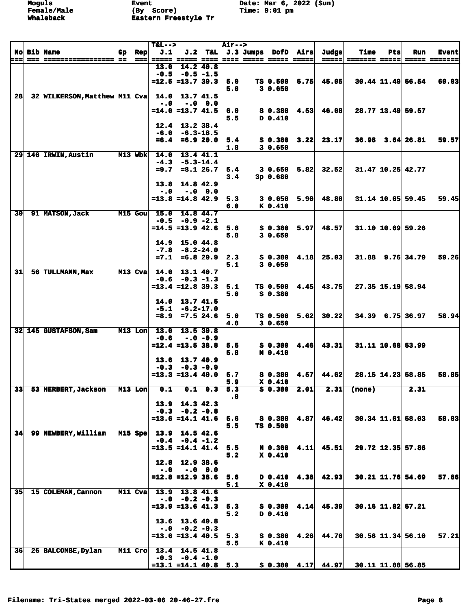|       |                               |                | $T&L-->$       |                                            |                 | <b>Air--&gt;</b> |                         |                       |      |                       |                      |     |                      |                     |
|-------|-------------------------------|----------------|----------------|--------------------------------------------|-----------------|------------------|-------------------------|-----------------------|------|-----------------------|----------------------|-----|----------------------|---------------------|
|       | <b>No Bib Name</b>            | $Gp$ Rep       | J.1            | J.2                                        |                 |                  | T&L J.3 Jumps DofD Airs |                       |      | Judge                 | <b>Time</b>          | Pts | Run                  | <b>Event</b>        |
| === 1 |                               |                |                |                                            |                 |                  | ---- ----- ----- -----  |                       |      |                       | =====  ======= ===== |     |                      | <b>===== ======</b> |
|       |                               |                | 13.0<br>$-0.5$ | $-0.5 -1.5$                                | 14.2 40.8       |                  |                         |                       |      |                       |                      |     |                      |                     |
|       |                               |                |                | $=12.5$ =13.7 39.3                         |                 | 5.0              |                         | <b>TS 0.500</b>       | 5.75 | 45.05                 |                      |     | 30.44 11.49 56.54    | 60.03               |
|       |                               |                |                |                                            |                 | 5.0              |                         | 3 0.650               |      |                       |                      |     |                      |                     |
| 28    | 32 WILKERSON, Matthew M11 Cva |                | 14.0           |                                            | 13.7 41.5       |                  |                         |                       |      |                       |                      |     |                      |                     |
|       |                               |                | $-.0$          |                                            | $-.0 0.0$       |                  |                         |                       |      |                       |                      |     |                      |                     |
|       |                               |                |                | $=14.0$ =13.7 41.5                         |                 | 6.0              |                         | $S$ 0.380 4.53        |      | 46.08                 |                      |     | 28.77 13.49 59.57    |                     |
|       |                               |                |                |                                            |                 | 5.5              |                         | D 0.410               |      |                       |                      |     |                      |                     |
|       |                               |                |                | $12.4$ 13.2 38.4                           |                 |                  |                         |                       |      |                       |                      |     |                      |                     |
|       |                               |                |                | $-6.0 - 6.3 - 18.5$                        |                 |                  |                         |                       |      |                       |                      |     |                      |                     |
|       |                               |                |                | $=6.4 = 6.9 20.0$                          |                 | 5.4<br>1.8       |                         | $S_0$ , 380<br>30.650 | 3.22 | 23.17                 |                      |     | $36.98$ $3.64$ 26.81 | 59.57               |
|       | 29 146 IRWIN, Austin          | $M13$ Wbk      | 14.0           | $13.4$ 41.1                                |                 |                  |                         |                       |      |                       |                      |     |                      |                     |
|       |                               |                |                | $-4.3 - 5.3 - 14.4$                        |                 |                  |                         |                       |      |                       |                      |     |                      |                     |
|       |                               |                |                | $= 9.7 = 8.126.7$                          |                 | 5.4              |                         | 3 0.650               | 5.82 | 32.52                 |                      |     | 31.47 10.25 42.77    |                     |
|       |                               |                |                |                                            |                 | 3.4              |                         | 3p 0.680              |      |                       |                      |     |                      |                     |
|       |                               |                |                | 13.8 14.8 42.9                             |                 |                  |                         |                       |      |                       |                      |     |                      |                     |
|       |                               |                | $-0.0$         |                                            | $-.0 0.0$       |                  |                         |                       |      |                       |                      |     |                      |                     |
|       |                               |                |                | $=13.8$ =14.8 42.9                         |                 | 5.3              |                         | $30.650$ 5.90         |      | 48.80                 |                      |     | 31.14 10.65 59.45    | 59.45               |
|       |                               |                |                |                                            |                 | 6.0              |                         | K 0.410               |      |                       |                      |     |                      |                     |
| 30    | 91 MATSON, Jack               | M15 Gou        | 15.0           | $-0.5 -0.9 -2.1$                           | 14.8 44.7       |                  |                         |                       |      |                       |                      |     |                      |                     |
|       |                               |                |                | $=14.5 = 13.9 42.6$                        |                 | 5.8              |                         | $S$ 0.380 5.97        |      | 48.57                 |                      |     | 31.10 10.69 59.26    |                     |
|       |                               |                |                |                                            |                 | 5.8              |                         | 30.650                |      |                       |                      |     |                      |                     |
|       |                               |                |                | 14.9 15.0 44.8                             |                 |                  |                         |                       |      |                       |                      |     |                      |                     |
|       |                               |                |                | $-7.8 - 8.2 - 24.0$                        |                 |                  |                         |                       |      |                       |                      |     |                      |                     |
|       |                               |                |                | $=7.1$ $=6.8$ 20.9                         |                 | 2.3              |                         | S 0.380               | 4.18 | 25.03                 |                      |     | $31.88$ 9.76 34.79   | 59.26               |
|       |                               |                |                |                                            |                 | 5.1              |                         | 30.650                |      |                       |                      |     |                      |                     |
| 31    | 56 TULLMANN, Max              | $M13$ Cva      | 14.0           |                                            | 13.1 40.7       |                  |                         |                       |      |                       |                      |     |                      |                     |
|       |                               |                |                | $-0.6 - 0.3 - 1.3$<br>$=13.4$ $=12.8$ 39.3 |                 | 5.1              |                         |                       |      | TS $0.500$ 4.45 43.75 |                      |     | 27.35 15.19 58.94    |                     |
|       |                               |                |                |                                            |                 | 5.0              |                         | S 0.380               |      |                       |                      |     |                      |                     |
|       |                               |                |                | 14.0 13.7 41.5                             |                 |                  |                         |                       |      |                       |                      |     |                      |                     |
|       |                               |                |                | $-5.1 - 6.2 - 17.0$                        |                 |                  |                         |                       |      |                       |                      |     |                      |                     |
|       |                               |                | $= 8.9$        | $=7.5$ 24.6                                |                 | 5.0              |                         | TS 0.500              | 5.62 | 30.22                 |                      |     | $34.39$ 6.75 36.97   | 58.94               |
|       |                               |                |                |                                            |                 | 4.8              |                         | 30.650                |      |                       |                      |     |                      |                     |
|       | 32 145 GUSTAFSON, Sam         | M13 Lon        | 13.0           | 13.5 39.8                                  |                 |                  |                         |                       |      |                       |                      |     |                      |                     |
|       |                               |                | $-0.6$         |                                            | $-.0 - 0.9$     |                  |                         |                       |      |                       |                      |     |                      |                     |
|       |                               |                |                | $= 12.4$ = 13.5 38.8                       |                 | 5.5              |                         | $S_0.380$             | 4.46 | 43.31                 |                      |     | 31.11 10.68 53.99    |                     |
|       |                               |                |                | 13.6 13.7 40.9                             |                 | 5.8              |                         | M 0.410               |      |                       |                      |     |                      |                     |
|       |                               |                |                | $-0.3 - 0.3 - 0.9$                         |                 |                  |                         |                       |      |                       |                      |     |                      |                     |
|       |                               |                |                | $=13.3$ =13.4 40.0                         |                 | 5.7              |                         |                       |      | $S$ 0.380 4.57 44.62  |                      |     | 28.15 14.23 58.85    | 58.85               |
|       |                               |                |                |                                            |                 | 5.9              |                         | $X$ 0.410             |      |                       |                      |     |                      |                     |
| 33    | 53 HERBERT, Jackson           | <b>M13 Lon</b> | 0.1            |                                            | $0.1 \quad 0.3$ | 5.3              |                         | $S$ 0.380 2.01        |      | 2.31                  | (none)               |     | 2.31                 |                     |
|       |                               |                |                |                                            |                 | $\cdot$ 0        |                         |                       |      |                       |                      |     |                      |                     |
|       |                               |                | 13.9           |                                            | 14.3 42.3       |                  |                         |                       |      |                       |                      |     |                      |                     |
|       |                               |                |                | $-0.3 -0.2 -0.8$                           |                 |                  |                         |                       |      |                       |                      |     |                      |                     |
|       |                               |                |                | $=13.6$ $=14.1$ $41.6$                     |                 | 5.6<br>5.5       |                         | TS 0.500              |      | $S$ 0.380 4.87 46.42  |                      |     | $30.34$ 11.61 58.03  | 58.03               |
| 34    | 99 NEWBERY, William           | $M15$ Spe      |                | 13.9 14.5 42.6                             |                 |                  |                         |                       |      |                       |                      |     |                      |                     |
|       |                               |                |                | $-0.4 - 0.4 - 1.2$                         |                 |                  |                         |                       |      |                       |                      |     |                      |                     |
|       |                               |                |                | $=13.5$ $=14.1$ $41.4$                     |                 | 5.5              |                         |                       |      | $N$ 0.360 4.11 45.51  |                      |     | 29.72 12.35 57.86    |                     |
|       |                               |                |                |                                            |                 | 5.2              |                         | $X_0.410$             |      |                       |                      |     |                      |                     |
|       |                               |                |                | $12.8$ 12.9 38.6                           |                 |                  |                         |                       |      |                       |                      |     |                      |                     |
|       |                               |                |                | $-.0$ $-.0$ $0.0$                          |                 |                  |                         |                       |      |                       |                      |     |                      |                     |
|       |                               |                |                | $=12.8$ =12.9 38.6                         |                 | 5.6              |                         |                       |      | $D$ 0.410 4.38 42.93  |                      |     | $30.21$ 11.76 54.69  | 57.86               |
| 35    | 15 COLEMAN, Cannon            | M11 Cva        | 13.9           | 13.8 41.6                                  |                 | 5.1              |                         | $X$ 0.410             |      |                       |                      |     |                      |                     |
|       |                               |                |                | $-.0$ $-0.2$ $-0.3$                        |                 |                  |                         |                       |      |                       |                      |     |                      |                     |
|       |                               |                |                | $=13.9$ $=13.6$ $41.3$                     |                 | 5.3              |                         |                       |      | $S$ 0.380 4.14 45.39  |                      |     | 30.16 11.82 57.21    |                     |
|       |                               |                |                |                                            |                 | 5.2              |                         | D 0.410               |      |                       |                      |     |                      |                     |
|       |                               |                |                | 13.6 13.6 40.8                             |                 |                  |                         |                       |      |                       |                      |     |                      |                     |
|       |                               |                |                | $-.0$ $-0.2$ $-0.3$                        |                 |                  |                         |                       |      |                       |                      |     |                      |                     |
|       |                               |                |                | $= 13.6 = 13.4$ 40.5                       |                 | 5.3              |                         |                       |      | $S$ 0.380 4.26 44.76  |                      |     | $30.56$ 11.34 56.10  | 57.21               |
|       |                               |                |                |                                            |                 | 5.5              |                         | K 0.410               |      |                       |                      |     |                      |                     |
| 36    | 26 BALCOMBE, Dylan            | M11 Cro        |                | 13.4 14.5 41.8                             |                 |                  |                         |                       |      |                       |                      |     |                      |                     |
|       |                               |                |                | $-0.3 -0.4 -1.0$<br>$=13.1$ =14.1 40.8 5.3 |                 |                  |                         |                       |      | $S$ 0.380 4.17 44.97  |                      |     | 30.11 11.88 56.85    |                     |
|       |                               |                |                |                                            |                 |                  |                         |                       |      |                       |                      |     |                      |                     |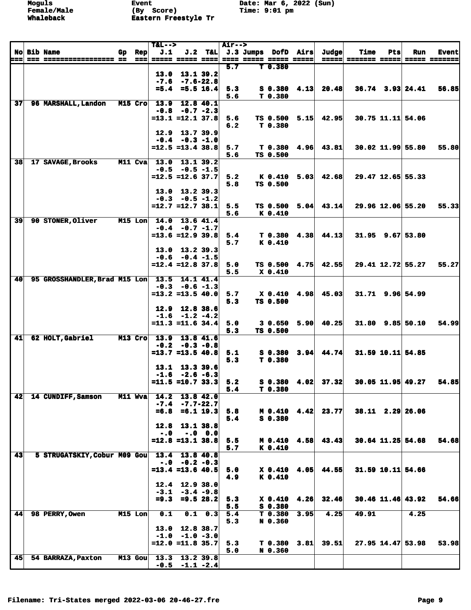|                 |                               |    |                            | $T&L-->$                |                                          |                 | <b>Air--&gt;</b> |                                              |      |                         |             |     |                        |               |
|-----------------|-------------------------------|----|----------------------------|-------------------------|------------------------------------------|-----------------|------------------|----------------------------------------------|------|-------------------------|-------------|-----|------------------------|---------------|
|                 | <b>No Bib Name</b>            | Gp | Rep                        | J.1                     |                                          |                 |                  | J.2 T&L J.3 Jumps DofD Airs                  |      | Judge                   | <b>Time</b> | Pts | Run                    | <b>Event</b>  |
| ===             |                               |    | $=$ $=$ $=$ $\blacksquare$ | <b>===== ===== ====</b> |                                          |                 | 5.7              | ==== ===== ===== =====<br>T <sub>0.380</sub> |      |                         |             |     |                        | ===== ======= |
|                 |                               |    |                            | 13.0                    | 13.1 39.2                                |                 |                  |                                              |      |                         |             |     |                        |               |
|                 |                               |    |                            |                         | $-7.6 - 7.6 - 22.8$                      |                 |                  |                                              |      |                         |             |     |                        |               |
|                 |                               |    |                            |                         | $=5.4$ =5.5 16.4                         |                 | 5.3              | $S$ 0.380 4.13                               |      | 20.48                   |             |     | $36.74$ $3.93$ $24.41$ | 56.85         |
|                 |                               |    |                            |                         |                                          |                 | 5.6              | T 0.380                                      |      |                         |             |     |                        |               |
| 37 <sup>1</sup> | 96 MARSHALL, Landon           |    | $M15$ Cro                  | 13.9                    | 12.8 40.1                                |                 |                  |                                              |      |                         |             |     |                        |               |
|                 |                               |    |                            |                         | $-0.8 - 0.7 - 2.3$                       |                 |                  |                                              |      |                         |             |     |                        |               |
|                 |                               |    |                            | $=13.1$ $=12.1$ $37.8$  |                                          |                 | 5.6              | TS 0.500 5.15                                |      | 42.95                   |             |     | 30.75 11.11 54.06      |               |
|                 |                               |    |                            |                         |                                          |                 | 6.2              | T 0.380                                      |      |                         |             |     |                        |               |
|                 |                               |    |                            | 12.9                    | 13.7 39.9                                |                 |                  |                                              |      |                         |             |     |                        |               |
|                 |                               |    |                            |                         | $-0.4 - 0.3 - 1.0$                       |                 |                  |                                              |      |                         |             |     |                        |               |
|                 |                               |    |                            | $= 12.5 = 13.4$ 38.8    |                                          |                 | 5.7<br>5.6       | TS 0.500                                     |      | $T$ 0.380 4.96 43.81    |             |     | $30.02$ 11.99 55.80    | 55.80         |
| 38              | 17 SAVAGE, Brooks             |    | M11 Cva                    | 13.0                    | 13.1 39.2                                |                 |                  |                                              |      |                         |             |     |                        |               |
|                 |                               |    |                            |                         | $-0.5 -0.5 -1.5$                         |                 |                  |                                              |      |                         |             |     |                        |               |
|                 |                               |    |                            | $=12.5$ =12.6 37.7      |                                          |                 | 5.2              | K 0.410                                      | 5.03 | 42.68                   |             |     | 29.47 12.65 55.33      |               |
|                 |                               |    |                            |                         |                                          |                 | 5.8              | TS 0.500                                     |      |                         |             |     |                        |               |
|                 |                               |    |                            |                         | 13.0 13.2 39.3                           |                 |                  |                                              |      |                         |             |     |                        |               |
|                 |                               |    |                            |                         | $-0.3 - 0.5 - 1.2$                       |                 |                  |                                              |      |                         |             |     |                        |               |
|                 |                               |    |                            | $=12.7$ =12.7 38.1      |                                          |                 | 5.5              | <b>TS 0.500</b>                              | 5.04 | 43.14                   |             |     | 29.96 12.06 55.20      | 55.33         |
|                 |                               |    |                            |                         |                                          |                 | 5.6              | K 0.410                                      |      |                         |             |     |                        |               |
| 39              | 90 STONER, Oliver             |    | $M15$ Lon                  | 14.0                    | 13.641.4                                 |                 |                  |                                              |      |                         |             |     |                        |               |
|                 |                               |    |                            |                         | $-0.4 -0.7 -1.7$                         |                 |                  |                                              |      |                         |             |     |                        |               |
|                 |                               |    |                            | $= 13.6 = 12.9$ 39.8    |                                          |                 | 5.4              |                                              |      | $T$ 0.380 4.38 44.13    |             |     | $31.95$ 9.67 53.80     |               |
|                 |                               |    |                            |                         |                                          |                 | 5.7              | K 0.410                                      |      |                         |             |     |                        |               |
|                 |                               |    |                            |                         | $13.0$ $13.2$ $39.3$<br>$-0.6 -0.4 -1.5$ |                 |                  |                                              |      |                         |             |     |                        |               |
|                 |                               |    |                            | $=12.4$ =12.8 37.8      |                                          |                 | 5.0              | TS 0.500 4.75                                |      | 42.55                   |             |     | 29.41 12.72 55.27      | 55.27         |
|                 |                               |    |                            |                         |                                          |                 | 5.5              | X 0.410                                      |      |                         |             |     |                        |               |
| 40              | 95 GROSSHANDLER, Brad M15 Lon |    |                            |                         | 13.5 14.1 41.4                           |                 |                  |                                              |      |                         |             |     |                        |               |
|                 |                               |    |                            |                         | $-0.3 - 0.6 - 1.3$                       |                 |                  |                                              |      |                         |             |     |                        |               |
|                 |                               |    |                            | $=13.2$ =13.5 40.0      |                                          |                 | 5.7              | X 0.410 4.98                                 |      | 45.03                   |             |     | 31.71 9.96 54.99       |               |
|                 |                               |    |                            |                         |                                          |                 | 5.3              | TS 0.500                                     |      |                         |             |     |                        |               |
|                 |                               |    |                            |                         | 12.9 12.8 38.6                           |                 |                  |                                              |      |                         |             |     |                        |               |
|                 |                               |    |                            |                         | $-1.6$ $-1.2$ $-4.2$                     |                 |                  |                                              |      |                         |             |     |                        |               |
|                 |                               |    |                            | $=11.3$ $=11.6$ 34.4    |                                          |                 | 5.0              |                                              |      | $30.650$ $5.90$ $40.25$ |             |     | $31.80$ 9.85 50.10     | 54.99         |
| 41              | 62 HOLT, Gabriel              |    | M13 Cro                    | 13.9                    | 13.8 41.6                                |                 | 5.3              | TS 0.500                                     |      |                         |             |     |                        |               |
|                 |                               |    |                            |                         | $-0.2 -0.3 -0.8$                         |                 |                  |                                              |      |                         |             |     |                        |               |
|                 |                               |    |                            | $=13.7$ $=13.5$ 40.8    |                                          |                 | 5.1              | $S$ 0.380 3.94                               |      | 44.74                   |             |     | $31.59$ 10.11 54.85    |               |
|                 |                               |    |                            |                         |                                          |                 | 5.3              | T 0.380                                      |      |                         |             |     |                        |               |
|                 |                               |    |                            |                         | 13.1 13.3 39.6                           |                 |                  |                                              |      |                         |             |     |                        |               |
|                 |                               |    |                            |                         | $-1.6 -2.6 -6.3$                         |                 |                  |                                              |      |                         |             |     |                        |               |
|                 |                               |    |                            | $=11.5$ =10.7 33.3      |                                          |                 | 5.2              |                                              |      | $S$ 0.380 4.02 37.32    |             |     | $30.05$ 11.95 49.27    | 54.85         |
|                 |                               |    |                            |                         |                                          |                 | 5.4              | T 0.380                                      |      |                         |             |     |                        |               |
| 42              | 14 CUNDIFF, Samson            |    | M11 Wva                    | 14.2                    | 13.842.0                                 |                 |                  |                                              |      |                         |             |     |                        |               |
|                 |                               |    |                            | $-7.4$                  | $-7.7 - 22.7$                            |                 |                  |                                              |      |                         |             |     |                        |               |
|                 |                               |    |                            | $= 6.8$                 | $= 6.1$ 19.3                             |                 | 5.8              | $M$ 0.410 4.42<br>S 0.380                    |      | 23.77                   |             |     | $38.11$ 2.29 26.06     |               |
|                 |                               |    |                            | 12.8                    |                                          | 13.1 38.8       | 5.4              |                                              |      |                         |             |     |                        |               |
|                 |                               |    |                            | $-0.0$                  | $-.0 \t0.0$                              |                 |                  |                                              |      |                         |             |     |                        |               |
|                 |                               |    |                            | $=12.8$ $=13.1$ 38.8    |                                          |                 | 5.5              | M 0.410 4.58                                 |      | 43.43                   |             |     | $30.64$ 11.25 54.68    | 54.68         |
|                 |                               |    |                            |                         |                                          |                 | 5.7              | K 0.410                                      |      |                         |             |     |                        |               |
| 43              | 5 STRUGATSKIY, Cobur M09 Gou  |    |                            | 13.4                    | 13.8 40.8                                |                 |                  |                                              |      |                         |             |     |                        |               |
|                 |                               |    |                            |                         | $-.0$ $-.2$ $-.3$                        |                 |                  |                                              |      |                         |             |     |                        |               |
|                 |                               |    |                            | $=13.4$ =13.6 40.5      |                                          |                 | 5.0              | $X$ 0.410 4.05                               |      | 44.55                   |             |     | 31.59 10.11 54.66      |               |
|                 |                               |    |                            |                         |                                          |                 | 4.9              | K 0.410                                      |      |                         |             |     |                        |               |
|                 |                               |    |                            | 12.4                    | 12.9 38.0                                |                 |                  |                                              |      |                         |             |     |                        |               |
|                 |                               |    |                            |                         | $-3.1 -3.4 -9.8$                         |                 |                  |                                              |      |                         |             |     |                        |               |
|                 |                               |    |                            | $= 9.3$                 |                                          | $= 9.528.2$     | 5.3              | $X$ 0.410 4.26<br>$S$ 0.380                  |      | 32.46                   |             |     | $30.46$ 11.46 43.92    | 54.66         |
| 44              | 98 PERRY, Owen                |    | M15 Lon                    | 0.1                     |                                          | $0.1 \quad 0.3$ | 5.5<br>5.4       | T <sub>0.380</sub>                           | 3.95 | 4.25                    | 49.91       |     | 4.25                   |               |
|                 |                               |    |                            |                         |                                          |                 | 5.3              | N 0.360                                      |      |                         |             |     |                        |               |
|                 |                               |    |                            | 13.0                    | 12.8 38.7                                |                 |                  |                                              |      |                         |             |     |                        |               |
|                 |                               |    |                            |                         | $-1.0 -1.0 -3.0$                         |                 |                  |                                              |      |                         |             |     |                        |               |
|                 |                               |    |                            | $=12.0$ =11.8 35.7      |                                          |                 | 5.3              | T <sub>0.380</sub>                           | 3.81 | 39.51                   |             |     | $27.95$ 14.47 53.98    | 53.98         |
|                 |                               |    |                            |                         |                                          |                 | 5.0              | N 0.360                                      |      |                         |             |     |                        |               |
| 45 <sub>l</sub> | 54 BARRAZA, Paxton            |    | $M13$ Gou                  | 13.3                    | 13.2 39.8                                |                 |                  |                                              |      |                         |             |     |                        |               |
|                 |                               |    |                            | $-0.5$                  |                                          | $-1.1 -2.4$     |                  |                                              |      |                         |             |     |                        |               |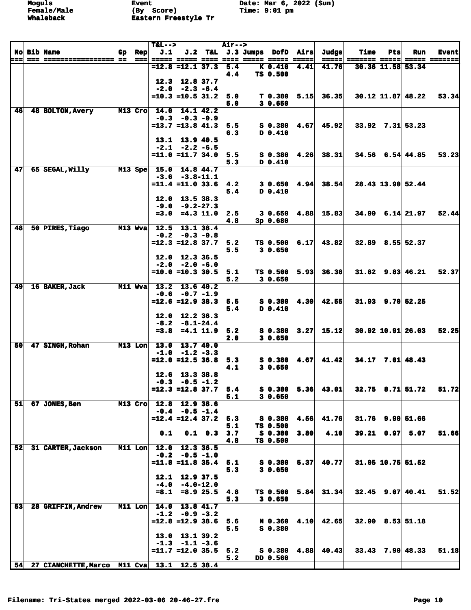**Moguls Event Date: Mar 6, 2022 (Sun) Fvent**<br>(By S **Whaleback Eastern Freestyle Tr** 

|     |                                             |     |                   | $T&L-->$ |                                             |                 | <b>Air--&gt;</b> |                                |      |       |                      |            |                        |               |
|-----|---------------------------------------------|-----|-------------------|----------|---------------------------------------------|-----------------|------------------|--------------------------------|------|-------|----------------------|------------|------------------------|---------------|
|     | <b>No Bib Name</b>                          | Gp. | <b>Rep</b>        | J.1      |                                             |                 |                  | J.2 T&L J.3 Jumps DofD Airs    |      | Judge | <b>Time</b>          | Pts        | Run                    | <b>Event</b>  |
| === |                                             |     | $=$ $=$ $=$ $\pm$ |          | ===== ===== ====                            |                 |                  | ==== ===== ===== =====         |      |       | =====  ======= ===== |            |                        | ===== ======= |
|     |                                             |     |                   |          | $= 12.8 = 12.1$ 37.3                        |                 | 5.4<br>4.4       | K <sub>0.410</sub><br>TS 0.500 | 4.41 | 41.76 |                      |            | 30.36 11.58 53.34      |               |
|     |                                             |     |                   |          | 12.3 12.8 37.7                              |                 |                  |                                |      |       |                      |            |                        |               |
|     |                                             |     |                   |          | $-2.0 -2.3 -6.4$                            |                 |                  |                                |      |       |                      |            |                        |               |
|     |                                             |     |                   |          | $=10.3$ =10.5 31.2                          |                 | 5.0              | $T$ 0.380 5.15                 |      | 36.35 |                      |            | 30.12 11.87 48.22      | 53.34         |
|     |                                             |     |                   |          |                                             |                 | 5.0              | 30.650                         |      |       |                      |            |                        |               |
| 46  | 48 BOLTON, Avery                            |     | M13 Cro           | 14.0     |                                             | 14.1 42.2       |                  |                                |      |       |                      |            |                        |               |
|     |                                             |     |                   |          | $-0.3 - 0.3 - 0.9$                          |                 |                  |                                |      |       |                      |            |                        |               |
|     |                                             |     |                   |          | $=13.7$ $=13.8$ $41.3$                      |                 | 5.5              | $S$ 0.380 4.67                 |      | 45.92 |                      |            | $33.92$ $7.31$ $53.23$ |               |
|     |                                             |     |                   |          | 13.1 13.9 40.5                              |                 | 6.3              | $D$ 0.410                      |      |       |                      |            |                        |               |
|     |                                             |     |                   |          | $-2.1 -2.2 -6.5$                            |                 |                  |                                |      |       |                      |            |                        |               |
|     |                                             |     |                   |          | $=11.0$ $=11.7$ 34.0                        |                 | 5.5              | $S$ 0.380 4.26                 |      | 38.31 |                      |            | $34.56$ 6.54 44.85     | 53.23         |
|     |                                             |     |                   |          |                                             |                 | 5.3              | D 0.410                        |      |       |                      |            |                        |               |
| 47  | 65 SEGAL, Willy                             |     | M13 Spe           |          | 15.0 14.8 44.7                              |                 |                  |                                |      |       |                      |            |                        |               |
|     |                                             |     |                   |          | $-3.6 -3.8 - 11.1$                          |                 |                  |                                |      |       |                      |            |                        |               |
|     |                                             |     |                   |          | $=11.4$ =11.0 33.6                          |                 | 4.2              | 30.6504.94                     |      | 38.54 |                      |            | 28.43 13.90 52.44      |               |
|     |                                             |     |                   |          | 12.0 13.5 38.3                              |                 | 5.4              | D 0.410                        |      |       |                      |            |                        |               |
|     |                                             |     |                   |          | $-9.0 - 9.2 - 27.3$                         |                 |                  |                                |      |       |                      |            |                        |               |
|     |                                             |     |                   | $= 3.0$  | $= 4.3$ 11.0                                |                 | 2.5              | 3 0.650                        | 4.88 | 15.83 |                      |            | $34.90$ 6.14 21.97     | 52.44         |
|     |                                             |     |                   |          |                                             |                 | 4.8              | 3p 0.680                       |      |       |                      |            |                        |               |
| 48  | 50 PIRES, Tiago                             |     | M13 Wva           |          | 12.5 13.1 38.4                              |                 |                  |                                |      |       |                      |            |                        |               |
|     |                                             |     |                   |          | $-0.2 -0.3 -0.8$                            |                 |                  |                                |      |       |                      |            |                        |               |
|     |                                             |     |                   |          | $=12.3$ $=12.8$ 37.7                        |                 | 5.2              | TS 0.500 6.17                  |      | 43.82 |                      |            | 32.89 8.55 52.37       |               |
|     |                                             |     |                   |          |                                             |                 | 5.5              | 3 0.650                        |      |       |                      |            |                        |               |
|     |                                             |     |                   |          | $12.0$ $12.3$ $36.5$<br>$-2.0 -2.0 -6.0$    |                 |                  |                                |      |       |                      |            |                        |               |
|     |                                             |     |                   |          | $=10.0$ =10.3 30.5                          |                 | 5.1              | TS 0.500 5.93                  |      | 36.38 |                      |            | $31.82$ 9.83 46.21     | 52.37         |
|     |                                             |     |                   |          |                                             |                 | 5.2              | 3 0.650                        |      |       |                      |            |                        |               |
| 49  | 16 BAKER, Jack                              |     | M11 Wva           |          | 13.2 13.6 40.2                              |                 |                  |                                |      |       |                      |            |                        |               |
|     |                                             |     |                   |          | $-0.6 -0.7 -1.9$                            |                 |                  |                                |      |       |                      |            |                        |               |
|     |                                             |     |                   |          | $= 12.6 = 12.9$ 38.3                        |                 | 5.5              | $S$ 0.380 4.30                 |      | 42.55 |                      |            | $31.93$ $9.70$ $52.25$ |               |
|     |                                             |     |                   |          |                                             |                 | 5.4              | D 0.410                        |      |       |                      |            |                        |               |
|     |                                             |     |                   |          | $12.0$ $12.2$ $36.3$<br>$-8.2 - 8.1 - 24.4$ |                 |                  |                                |      |       |                      |            |                        |               |
|     |                                             |     |                   |          | $=3.8$ $=4.1$ 11.9                          |                 | 5.2              | $S_0.380$                      | 3.27 | 15.12 |                      |            | $30.92$ 10.91 26.03    | 52.25         |
|     |                                             |     |                   |          |                                             |                 | 2.0              | 30.650                         |      |       |                      |            |                        |               |
| 50  | 47 SINGH, Rohan                             |     | $M13$ Lon         | 13.0     | 13.7 40.0                                   |                 |                  |                                |      |       |                      |            |                        |               |
|     |                                             |     |                   | $-1.0$   | $-1.2 -3.3$                                 |                 |                  |                                |      |       |                      |            |                        |               |
|     |                                             |     |                   |          | $=12.0$ =12.5 36.8                          |                 | 5.3              | $S$ 0.380 4.67                 |      | 41.42 |                      |            | $34.17$ $7.01$ $48.43$ |               |
|     |                                             |     |                   |          |                                             |                 | 4.1              | 30.650                         |      |       |                      |            |                        |               |
|     |                                             |     |                   |          | 12.6 13.3 38.8<br>$-0.3 - 0.5 - 1.2$        |                 |                  |                                |      |       |                      |            |                        |               |
|     |                                             |     |                   |          | $=12.3$ $=12.8$ 37.7                        |                 | 5.4              | $S_0.380$                      | 5.36 | 43.01 |                      |            | $32.75$ $8.71$ $51.72$ | 51.72         |
|     |                                             |     |                   |          |                                             |                 | 5.1              | 30.650                         |      |       |                      |            |                        |               |
| 51  | 67 JONES, Ben                               |     | M13 Cro           |          | 12.8 12.9 38.6                              |                 |                  |                                |      |       |                      |            |                        |               |
|     |                                             |     |                   |          | $-0.4 - 0.5 - 1.4$                          |                 |                  |                                |      |       |                      |            |                        |               |
|     |                                             |     |                   |          | $=12.4$ $=12.4$ 37.2                        |                 | 5.3              | S 0.380                        | 4.56 | 41.76 |                      |            | $31.76$ 9.90 51.66     |               |
|     |                                             |     |                   |          |                                             |                 | 5.1              | TS 0.500                       |      |       |                      |            |                        |               |
|     |                                             |     |                   | 0.1      |                                             | $0.1 \quad 0.3$ | 3.7<br>4.8       | S 0.380<br>TS 0.500            | 3.80 | 4.10  |                      | 39.21 0.97 | 5.07                   | 51.66         |
| 52  | 31 CARTER, Jackson                          |     | M11 Lon           | 12.0     | $12.3$ 36.5                                 |                 |                  |                                |      |       |                      |            |                        |               |
|     |                                             |     |                   |          | $-0.2 -0.5 -1.0$                            |                 |                  |                                |      |       |                      |            |                        |               |
|     |                                             |     |                   |          | $=11.8$ =11.8 35.4                          |                 | 5.1              | $S$ 0.380 5.37                 |      | 40.77 |                      |            | 31.05 10.75 51.52      |               |
|     |                                             |     |                   |          |                                             |                 | 5.3              | 30.650                         |      |       |                      |            |                        |               |
|     |                                             |     |                   |          | 12.1 12.9 37.5                              |                 |                  |                                |      |       |                      |            |                        |               |
|     |                                             |     |                   |          | $-4.0 - 4.0 - 12.0$                         |                 |                  |                                |      |       |                      |            |                        |               |
|     |                                             |     |                   |          | $=8.1$ $=8.9$ 25.5                          |                 | 4.8<br>5.3       | TS 0.500<br>30.650             | 5.84 | 31.34 |                      |            | $32.45$ 9.07 40.41     | 51.52         |
| 53  | 28 GRIFFIN, Andrew                          |     | $M11$ Lon         |          | $14.0$ $13.8$ $41.7$                        |                 |                  |                                |      |       |                      |            |                        |               |
|     |                                             |     |                   |          | $-1.2 -0.9 -3.2$                            |                 |                  |                                |      |       |                      |            |                        |               |
|     |                                             |     |                   |          | $=12.8$ =12.9 38.6                          |                 | 5.6              | N 0.360 4.10                   |      | 42.65 |                      |            | $32.90$ 8.53 51.18     |               |
|     |                                             |     |                   |          |                                             |                 | 5.5              | $S_0.380$                      |      |       |                      |            |                        |               |
|     |                                             |     |                   |          | 13.0 13.1 39.2                              |                 |                  |                                |      |       |                      |            |                        |               |
|     |                                             |     |                   |          | $-1.3 -1.1 -3.6$                            |                 |                  |                                |      |       |                      |            |                        |               |
|     |                                             |     |                   |          | $=11.7$ =12.0 35.5                          |                 | 5.2              | $S$ 0.380 4.88                 |      | 40.43 |                      |            | $33.43$ $7.90$ $48.33$ | 51.18         |
| 54  | 27 CIANCHETTE, Marco M11 Cva 13.1 12.5 38.4 |     |                   |          |                                             |                 | 5.2              | DD 0.560                       |      |       |                      |            |                        |               |
|     |                                             |     |                   |          |                                             |                 |                  |                                |      |       |                      |            |                        |               |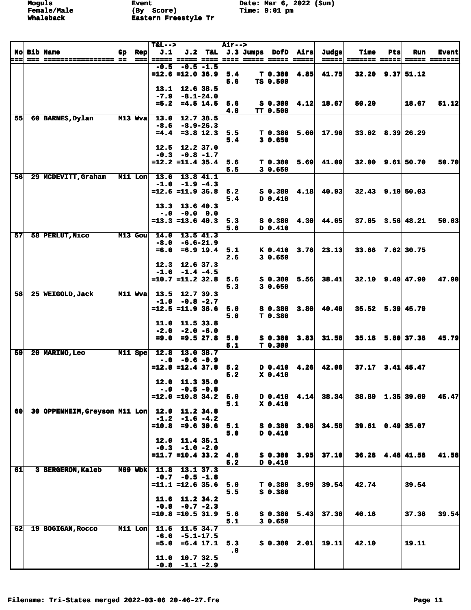|    |                               |    |           | $T&L-->$                    |                                 |               | <b>Air--&gt;</b> |                                 |      |                      |                      |     |                        |              |
|----|-------------------------------|----|-----------|-----------------------------|---------------------------------|---------------|------------------|---------------------------------|------|----------------------|----------------------|-----|------------------------|--------------|
|    | <b>No Bib Name</b>            | Gp | Rep       | J.1                         |                                 |               |                  | J.2 T&L J.3 Jumps DofD Airs     |      | Judge                | <b>Time</b>          | Pts | Run                    | <b>Event</b> |
|    |                               |    | $==$      | ===== ===== ==== <br>$-0.5$ | $-0.5 - 1.5$                    |               |                  | ==== ===== ===== =====          |      |                      | =====  ======= ===== |     |                        | ===== ====== |
|    |                               |    |           | $=12.6$ =12.0 36.9          |                                 |               | 5.4              | T 0.380                         | 4.85 | 41.75                |                      |     | $32.20$ 9.37 $51.12$   |              |
|    |                               |    |           |                             |                                 |               | 5.6              | TS 0.500                        |      |                      |                      |     |                        |              |
|    |                               |    |           |                             | 13.1 12.6 38.5                  |               |                  |                                 |      |                      |                      |     |                        |              |
|    |                               |    |           |                             | $-7.9 - 8.1 - 24.0$             |               |                  |                                 |      |                      |                      |     |                        |              |
|    |                               |    |           | $= 5.2$                     |                                 | $= 4.5$ 14.5  | 5.6              | <b>S 0.380</b>                  | 4.12 | 18.67                | 50.20                |     | 18.67                  | 51.12        |
| 55 |                               |    |           |                             |                                 |               | 4.0              | TT 0.500                        |      |                      |                      |     |                        |              |
|    | 60 BARNES, Dylan              |    | M13 Wva   | $-8.6$                      | 13.0 12.7 38.5<br>$-8.9 - 26.3$ |               |                  |                                 |      |                      |                      |     |                        |              |
|    |                               |    |           |                             | $=4.4$ =3.8 12.3                |               | 5.5              | T <sub>0.380</sub>              | 5.60 | 17.90                |                      |     | $33.02$ $8.39$ 26.29   |              |
|    |                               |    |           |                             |                                 |               | 5.4              | 30.650                          |      |                      |                      |     |                        |              |
|    |                               |    |           |                             | 12.5 12.2 37.0                  |               |                  |                                 |      |                      |                      |     |                        |              |
|    |                               |    |           |                             | $-0.3 -0.8 -1.7$                |               |                  |                                 |      |                      |                      |     |                        |              |
|    |                               |    |           | $=12.2$ $=11.4$ 35.4        |                                 |               | 5.6              | T 0.380                         | 5.69 | 41.09                |                      |     | $32.00$ $9.61$ $50.70$ | 50.70        |
|    |                               |    |           |                             |                                 |               | 5.5              | 30.650                          |      |                      |                      |     |                        |              |
| 56 | 29 MCDEVITT, Graham           |    | $M11$ Lon | 13.6                        | $-1.0 -1.9 -4.3$                | 13.8 41.1     |                  |                                 |      |                      |                      |     |                        |              |
|    |                               |    |           | $=12.6 = 11.9$ 36.8         |                                 |               | 5.2              | S 0.380                         | 4.18 | 40.93                |                      |     | $32.43$ 9.10 50.03     |              |
|    |                               |    |           |                             |                                 |               | 5.4              | D 0.410                         |      |                      |                      |     |                        |              |
|    |                               |    |           |                             | $13.3$ 13.6 40.3                |               |                  |                                 |      |                      |                      |     |                        |              |
|    |                               |    |           |                             | $-.0$ $-0.0$ $0.0$              |               |                  |                                 |      |                      |                      |     |                        |              |
|    |                               |    |           | $= 13.3 = 13.6$ 40.3        |                                 |               | 5.3              | $S_0.380$                       |      | $4.30 \mid 44.65$    |                      |     | $37.05$ $3.56$ $48.21$ | 50.03        |
|    |                               |    |           |                             |                                 |               | 5.6              | D 0.410                         |      |                      |                      |     |                        |              |
| 57 | 58 PERLUT, Nico               |    | $M13$ Gou | 14.0                        | $13.5$ 41.3                     |               |                  |                                 |      |                      |                      |     |                        |              |
|    |                               |    |           | $-8.0$<br>$= 6.0$           | -6.6-21.9<br>$= 6.9 19.4$       |               | 5.1              | K 0.410                         | 3.78 | 23.13                |                      |     | 33.66 7.62 30.75       |              |
|    |                               |    |           |                             |                                 |               | 2.6              | 30.650                          |      |                      |                      |     |                        |              |
|    |                               |    |           |                             | $12.3$ $12.6$ $37.3$            |               |                  |                                 |      |                      |                      |     |                        |              |
|    |                               |    |           |                             | $-1.6 -1.4 -4.5$                |               |                  |                                 |      |                      |                      |     |                        |              |
|    |                               |    |           | $=10.7$ $=11.2$ 32.8        |                                 |               | 5.6              | S 0.380                         | 5.56 | 38.41                |                      |     | $32.10$ $9.49$ $47.90$ | 47.90        |
|    |                               |    |           |                             |                                 |               | 5.3              | 30.650                          |      |                      |                      |     |                        |              |
| 58 | 25 WEIGOLD, Jack              |    | M11 Wva   |                             | 13.5 12.7 39.3                  |               |                  |                                 |      |                      |                      |     |                        |              |
|    |                               |    |           | $=12.5$ =11.9 36.6          | $-1.0 -0.8 -2.7$                |               | 5.0              | S 0.380                         | 3.80 | 40.40                |                      |     | 35.52 5.39 45.79       |              |
|    |                               |    |           |                             |                                 |               | 5.0              | T 0.380                         |      |                      |                      |     |                        |              |
|    |                               |    |           |                             | 11.0 11.5 33.8                  |               |                  |                                 |      |                      |                      |     |                        |              |
|    |                               |    |           |                             | $-2.0 -2.0 -6.0$                |               |                  |                                 |      |                      |                      |     |                        |              |
|    |                               |    |           | $= 9.0$                     |                                 | $= 9.527.8$   | 5.0              | S 0.380                         | 3.83 | 31.58                |                      |     | 35.18 5.80 37.38       | 45.79        |
|    |                               |    |           |                             |                                 |               | 5.1              | T 0.380                         |      |                      |                      |     |                        |              |
| 59 | 20 MARINO, Leo                |    | $M11$ Spe | 12.8                        |                                 | 13.0 38.7     |                  |                                 |      |                      |                      |     |                        |              |
|    |                               |    |           | $=12.8$ $=12.4$ 37.8        | $-.0 - 0.6 - 0.9$               |               | 5.2              | D 0.410                         |      | $4.26$ $42.06$       |                      |     | $37.17$ $3.41$ $45.47$ |              |
|    |                               |    |           |                             |                                 |               | 5.2              | $X_0, 410$                      |      |                      |                      |     |                        |              |
|    |                               |    |           |                             | $12.0$ 11.3 35.0                |               |                  |                                 |      |                      |                      |     |                        |              |
|    |                               |    |           |                             | $-.0$ $-0.5$ $-0.8$             |               |                  |                                 |      |                      |                      |     |                        |              |
|    |                               |    |           | $=12.0$ =10.8 34.2          |                                 |               | 5.0              |                                 |      | $D$ 0.410 4.14 38.34 |                      |     | 38.89 1.35 39.69       | 45.47        |
|    |                               |    |           |                             |                                 |               | 5.1              | $X_0.410$                       |      |                      |                      |     |                        |              |
| 60 | 30 OPPENHEIM, Greyson M11 Lon |    |           | 12.0 11.2 34.8              |                                 |               |                  |                                 |      |                      |                      |     |                        |              |
|    |                               |    |           | $=10.8$                     | $-1.2$ $-1.6$ $-4.2$            | $= 9.6$ 30.6  |                  |                                 |      | 34.58                |                      |     | $39.61$ 0.49 35.07     |              |
|    |                               |    |           |                             |                                 |               | 5.1<br>5.0       | S 0.380<br>D 0.410              | 3.98 |                      |                      |     |                        |              |
|    |                               |    |           | 12.0                        |                                 | 11.4 35.1     |                  |                                 |      |                      |                      |     |                        |              |
|    |                               |    |           |                             | $-0.3 -1.0 -2.0$                |               |                  |                                 |      |                      |                      |     |                        |              |
|    |                               |    |           | $=11.7$ $=10.4$ 33.2        |                                 |               | 4.8              | $S_0.380$                       | 3.95 | 37.10                |                      |     | $36.28$ 4.48 41.58     | 41.58        |
|    |                               |    |           |                             |                                 |               | 5.2              | D 0.410                         |      |                      |                      |     |                        |              |
| 61 | 3 BERGERON, Kaleb             |    | $M09$ Wbk | 11.8                        |                                 | 13.137.3      |                  |                                 |      |                      |                      |     |                        |              |
|    |                               |    |           |                             | $-0.7 - 0.5 - 1.8$              |               |                  |                                 |      |                      |                      |     |                        |              |
|    |                               |    |           | $=11.1$ =12.6 35.6          |                                 |               | 5.0<br>5.5       | T <sub>0.380</sub><br>$S$ 0.380 |      | $3.99$ 39.54         | 42.74                |     | 39.54                  |              |
|    |                               |    |           |                             | $11.6$ $11.2$ $34.2$            |               |                  |                                 |      |                      |                      |     |                        |              |
|    |                               |    |           |                             | $-0.8 - 0.7 - 2.3$              |               |                  |                                 |      |                      |                      |     |                        |              |
|    |                               |    |           | $=10.8$ =10.5 31.9          |                                 |               | 5.6              | S 0.380                         | 5.43 | 37.38                | 40.16                |     | 37.38                  | 39.54        |
|    |                               |    |           |                             |                                 |               | 5.1              | 30.650                          |      |                      |                      |     |                        |              |
| 62 | 19 BOGIGAN, Rocco             |    | M11 Lon   | 11.6                        | 11.5 34.7                       |               |                  |                                 |      |                      |                      |     |                        |              |
|    |                               |    |           | $-6.6$                      |                                 | $-5.1 - 17.5$ |                  |                                 |      |                      |                      |     |                        |              |
|    |                               |    |           | $= 5.0$                     |                                 | $=6.4$ 17.1   | 5.3              | $S$ 0.380 2.01                  |      | 19.11                | 42.10                |     | 19.11                  |              |
|    |                               |    |           | 11.0                        |                                 |               | $\cdot$ 0        |                                 |      |                      |                      |     |                        |              |
|    |                               |    |           |                             | $-0.8$ $-1.1$ $-2.9$            | 10.7 32.5     |                  |                                 |      |                      |                      |     |                        |              |
|    |                               |    |           |                             |                                 |               |                  |                                 |      |                      |                      |     |                        |              |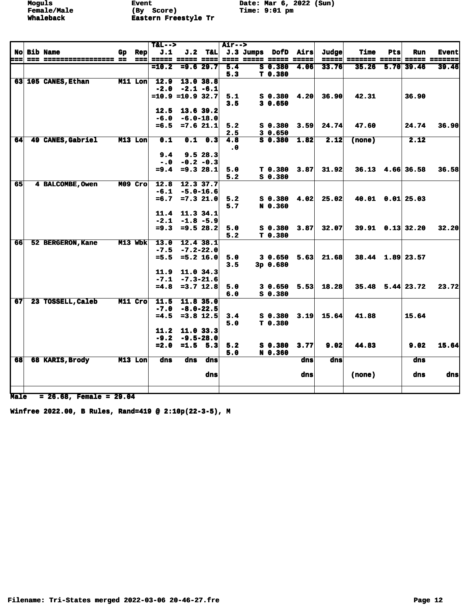**Moguls Event Date: Mar 6, 2022 (Sun)**

|      |                     |    |                   | $T&L-->$ |                      |                 | <b>Air--&gt;</b> |                                         |                    |      |                |                      |     |                        |                      |
|------|---------------------|----|-------------------|----------|----------------------|-----------------|------------------|-----------------------------------------|--------------------|------|----------------|----------------------|-----|------------------------|----------------------|
|      | No Bib Name         | Gp | Rep               | J.1      |                      |                 |                  | $J.2$ T&L $J.3$ Jumps DofD Airs         |                    |      | Judge          | Time                 | Pts | Run                    | <b>Event</b>         |
| $==$ |                     |    | $=$ $=$ $=$ $\pm$ |          |                      |                 |                  | ===== ===== ==== ==== ===== ===== ===== |                    |      |                | =====  ======= ===== |     |                        | <b>===== =======</b> |
|      |                     |    |                   | $=10.2$  | $= 9.629.7$          |                 | 5.4              |                                         | $S$ 0.380          | 4.06 | 33.76          | $35.26$ 5.70         |     | 39.46                  | 39.46                |
|      |                     |    |                   |          |                      |                 | 5.3              |                                         | T 0.380            |      |                |                      |     |                        |                      |
|      | 63 105 CANES, Ethan |    | M11 Lon           |          | 12.9 13.0 38.8       |                 |                  |                                         |                    |      |                |                      |     |                        |                      |
|      |                     |    |                   | $-2.0$   | $-2.1 - 6.1$         |                 |                  |                                         |                    |      |                |                      |     |                        |                      |
|      |                     |    |                   |          | $=10.9$ $=10.9$ 32.7 |                 | 5.1              |                                         | $S$ 0.380 4.20     |      | 36.90          | 42.31                |     | 36.90                  |                      |
|      |                     |    |                   |          | $12.5$ 13.6 39.2     |                 | 3.5              |                                         | 30.650             |      |                |                      |     |                        |                      |
|      |                     |    |                   |          | $-6.0 - 6.0 - 18.0$  |                 |                  |                                         |                    |      |                |                      |     |                        |                      |
|      |                     |    |                   | $= 6.5$  | $=7.6$ 21.1          |                 | 5.2              |                                         | S 0.380            | 3.59 | 24.74          | 47.60                |     | 24.74                  | 36.90                |
|      |                     |    |                   |          |                      |                 | 2.5              |                                         | 30.650             |      |                |                      |     |                        |                      |
| 64   | 49 CANES, Gabriel   |    | $M13$ Lon         | 0.1      |                      | $0.1 \quad 0.3$ | 4.8              |                                         | S <sub>0.380</sub> | 1.82 | 2.12           | (none)               |     | 2.12                   |                      |
|      |                     |    |                   |          |                      |                 | $\cdot$ 0        |                                         |                    |      |                |                      |     |                        |                      |
|      |                     |    |                   | 9.4      |                      | 9.5 28.3        |                  |                                         |                    |      |                |                      |     |                        |                      |
|      |                     |    |                   | $-.0$    | $-0.2 - 0.3$         |                 |                  |                                         |                    |      |                |                      |     |                        |                      |
|      |                     |    |                   | $= 9.4$  |                      | $= 9.328.1$     | 5.0              |                                         | T 0.380            |      | $3.87$ $31.92$ |                      |     | $36.13$ 4.66 36.58     | 36.58                |
|      |                     |    |                   |          |                      |                 | 5.2              |                                         | $S$ 0.380          |      |                |                      |     |                        |                      |
| 65   | 4 BALCOMBE, Owen    |    | M09 Cro           | 12.8     | $12.3$ 37.7          |                 |                  |                                         |                    |      |                |                      |     |                        |                      |
|      |                     |    |                   | $-6.1$   | $-5.0 - 16.6$        |                 |                  |                                         |                    |      |                |                      |     |                        |                      |
|      |                     |    |                   | $= 6.7$  | $=7.3$ 21.0          |                 | 5.2              |                                         | S 0.380            | 4.02 | 25.02          |                      |     | $40.01$ $0.01$ $25.03$ |                      |
|      |                     |    |                   |          |                      |                 | 5.7              |                                         | N 0.360            |      |                |                      |     |                        |                      |
|      |                     |    |                   |          | 11.4 11.3 34.1       |                 |                  |                                         |                    |      |                |                      |     |                        |                      |
|      |                     |    |                   | $-2.1$   | $-1.8 - 5.9$         |                 |                  |                                         |                    |      |                |                      |     |                        |                      |
|      |                     |    |                   | $= 9.3$  | $= 9.528.2$          |                 | 5.0              |                                         | S 0.380<br>T 0.380 | 3.87 | 32.07          |                      |     | $39.91$ 0.13 32.20     | 32.20                |
| 66   | 52 BERGERON, Kane   |    | M13 Wbk           | 13.0     | 12.4 38.1            |                 | 5.2              |                                         |                    |      |                |                      |     |                        |                      |
|      |                     |    |                   | $-7.5$   | $-7.2 - 22.0$        |                 |                  |                                         |                    |      |                |                      |     |                        |                      |
|      |                     |    |                   | $= 5.5$  | $= 5.2 16.0$         |                 | 5.0              |                                         | $30.650$ $5.63$    |      | 21.68          |                      |     | 38.44 1.89 23.57       |                      |
|      |                     |    |                   |          |                      |                 | 3.5              |                                         | 3p0.680            |      |                |                      |     |                        |                      |
|      |                     |    |                   | 11.9     | 11.034.3             |                 |                  |                                         |                    |      |                |                      |     |                        |                      |
|      |                     |    |                   |          | $-7.1 - 7.3 - 21.6$  |                 |                  |                                         |                    |      |                |                      |     |                        |                      |
|      |                     |    |                   | $= 4.8$  | $=3.7$ 12.8          |                 | 5.0              |                                         | 3 0.650            | 5.53 | 18.28          |                      |     | $35.48$ $5.44$ 23.72   | 23.72                |
|      |                     |    |                   |          |                      |                 | 6.0              |                                         | S 0.380            |      |                |                      |     |                        |                      |
| 67   | 23 TOSSELL, Caleb   |    | M11 Cro           | 11.5     | $11.8$ 35.0          |                 |                  |                                         |                    |      |                |                      |     |                        |                      |
|      |                     |    |                   | $-7.0$   | $-8.0 - 22.5$        |                 |                  |                                         |                    |      |                |                      |     |                        |                      |
|      |                     |    |                   | $= 4.5$  | $= 3.8$ 12.5         |                 | 3.4              |                                         | $S_0.380$          | 3.19 | 15.64          | 41.88                |     | 15.64                  |                      |
|      |                     |    |                   |          |                      |                 | 5.0              |                                         | T 0.380            |      |                |                      |     |                        |                      |
|      |                     |    |                   | 11.2     | 11.033.3             |                 |                  |                                         |                    |      |                |                      |     |                        |                      |
|      |                     |    |                   | $-9.2$   | $-9.5 - 28.0$        |                 |                  |                                         |                    |      |                |                      |     |                        |                      |
|      |                     |    |                   | $= 2.0$  | $=1.5$ 5.3           |                 | 5.2              |                                         | $S$ 0.380          | 3.77 | 9.02           | 44.83                |     | 9.02                   | 15.64                |
| 68   |                     |    |                   |          |                      |                 | 5.0              |                                         | N 0.360            |      |                |                      |     |                        |                      |
|      | 68 KARIS, Brody     |    | M13 Lon           | dns      | dns                  | dns             |                  |                                         |                    | dns  | dns            |                      |     | dns                    |                      |
|      |                     |    |                   |          |                      | dns             |                  |                                         |                    | dns  |                | (none)               |     | dns                    | dns                  |
|      |                     |    |                   |          |                      |                 |                  |                                         |                    |      |                |                      |     |                        |                      |
|      |                     |    |                   |          |                      |                 |                  |                                         |                    |      |                |                      |     |                        |                      |
|      |                     |    |                   |          |                      |                 |                  |                                         |                    |      |                |                      |     |                        |                      |

**Male = 26.68, Female = 29.04**

**Winfree 2022.00, B Rules, Rand=419 @ 2:10p(22-3-5), M**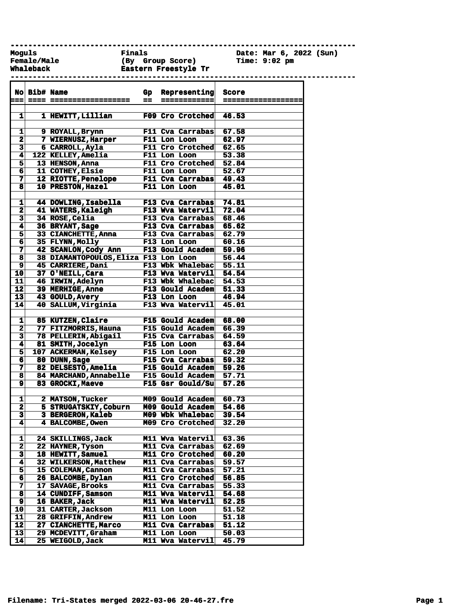**------------------------------------------------------------------------------ Female/Male (By Group Score) Time: 9:02 pm**

**Moguls Finals Date: Mar 6, 2022 (Sun)**

**Whaleback Eastern Freestyle Tr** 

**------------------------------------------------------------------------------ No Bib# Name Gp Representing Score === ==== ================== == ============ ================== 1 1 HEWITT,Lillian F09 Cro Crotched 46.53 1 9 ROYALL,Brynn F11 Cva Carrabas 67.58 2 7 WIERNUSZ,Harper F11 Lon Loon 62.97 3 6 CARROLL,Ayla F11 Cro Crotched 62.65 4 122 KELLEY,Amelia F11 Lon Loon 53.38 5 13 HENSON,Anna F11 Cro Crotched 52.84 6 11 COTHEY,Elsie F11 Lon Loon 52.67 7 12 RIOTTE,Penelope F11 Cva Carrabas 49.43 8 10 PRESTON,Hazel F11 Lon Loon 45.01 1 44 DOWLING,Isabella F13 Cva Carrabas 74.81 2 41 WATERS,Kaleigh F13 Wva Watervil 72.04 3 34 ROSE,Celia F13 Cva Carrabas 68.46 4 36 BRYANT,Sage F13 Cva Carrabas 65.62 5 33 CIANCHETTE,Anna F13 Cva Carrabas 62.79 6 35 FLYNN,Molly F13 Lon Loon 60.16 7 42 SCANLON,Cody Ann F13 Gould Academ 59.96 8 38 DIAMANTOPOULOS,Eliza F13 Lon Loon 56.44 9 45 CARRIERE,Dani F13 Wbk Whalebac 55.11 10 37 O'NEILL,Cara F13 Wva Watervil 54.54 11 46 IRWIN,Adelyn F13 Wbk Whalebac 54.53 12 39 MERHIGE,Anne F13 Gould Academ 51.33 13 43 GOULD,Avery F13 Lon Loon 46.94 14 40 SALLUM,Virginia F13 Wva Watervil 45.01 1 85 KUTZEN,Claire F15 Gould Academ 68.00** 2 77 FITZMORRIS, Hauna **3 78 PELLERIN,Abigail F15 Cva Carrabas 64.59 4 81 SMITH,Jocelyn F15 Lon Loon 63.64 5 107 ACKERMAN,Kelsey F15 Lon Loon 62.20 6 80 DUNN,Sage F15 Cva Carrabas 59.32 7 82 DELSESTO,Amelia F15 Gould Academ 59.26 8 84 MARCHAND,Annabelle F15 Gould Academ 57.71 9 83 GROCKI,Maeve F15 Gsr Gould/Su 57.26 1 2 MATSON,Tucker M09 Gould Academ 60.73 2 5 STRUGATSKIY,Coburn M09 Gould Academ 54.66 3 3 BERGERON,Kaleb M09 Wbk Whalebac 39.54 4 4 BALCOMBE,Owen M09 Cro Crotched 32.20 1 24 SKILLINGS,Jack M11 Wva Watervil 63.36 2 22 HAYNER,Tyson M11 Cva Carrabas 62.69 3 18 HEWITT,Samuel M11 Cro Crotched 60.20 M11 Cva Carrabas 59.57 5 15 COLEMAN,Cannon M11 Cva Carrabas 57.21 6 26 BALCOMBE,Dylan M11 Cro Crotched 56.85 7 17 SAVAGE,Brooks M11 Cva Carrabas 55.33 8 14 CUNDIFF,Samson M11 Wva Watervil 54.68 9 16 BAKER,Jack M11 Wva Watervil 52.25 10 31 CARTER,Jackson M11 Lon Loon 51.52 11 28 GRIFFIN,Andrew M11 Lon Loon 51.18 12 27 CIANCHETTE,Marco M11 Cva Carrabas 51.12**

**13 29 MCDEVITT,Graham M11 Lon Loon 50.03 14 25 WEIGOLD,Jack M11 Wva Watervil 45.79**